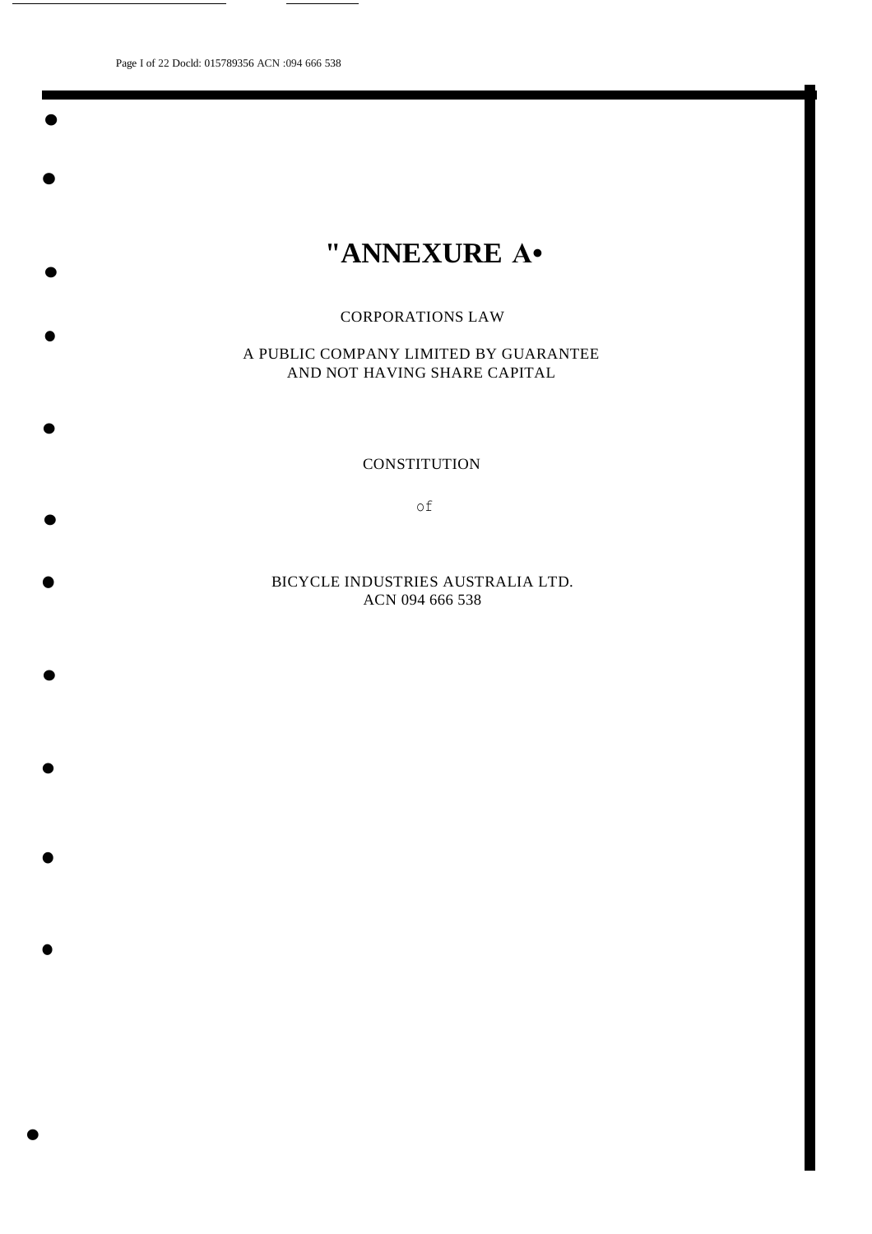Page I of 22 Docld: 015789356 ACN :094 666 538

•

•

•

•

•

•

•

•

•

•

•

•

# **"ANNEXURE A•**

# CORPORATIONS LAW

A PUBLIC COMPANY LIMITED BY GUARANTEE AND NOT HAVING SHARE CAPITAL

**CONSTITUTION** 

of

BICYCLE INDUSTRIES AUSTRALIA LTD. ACN 094 666 538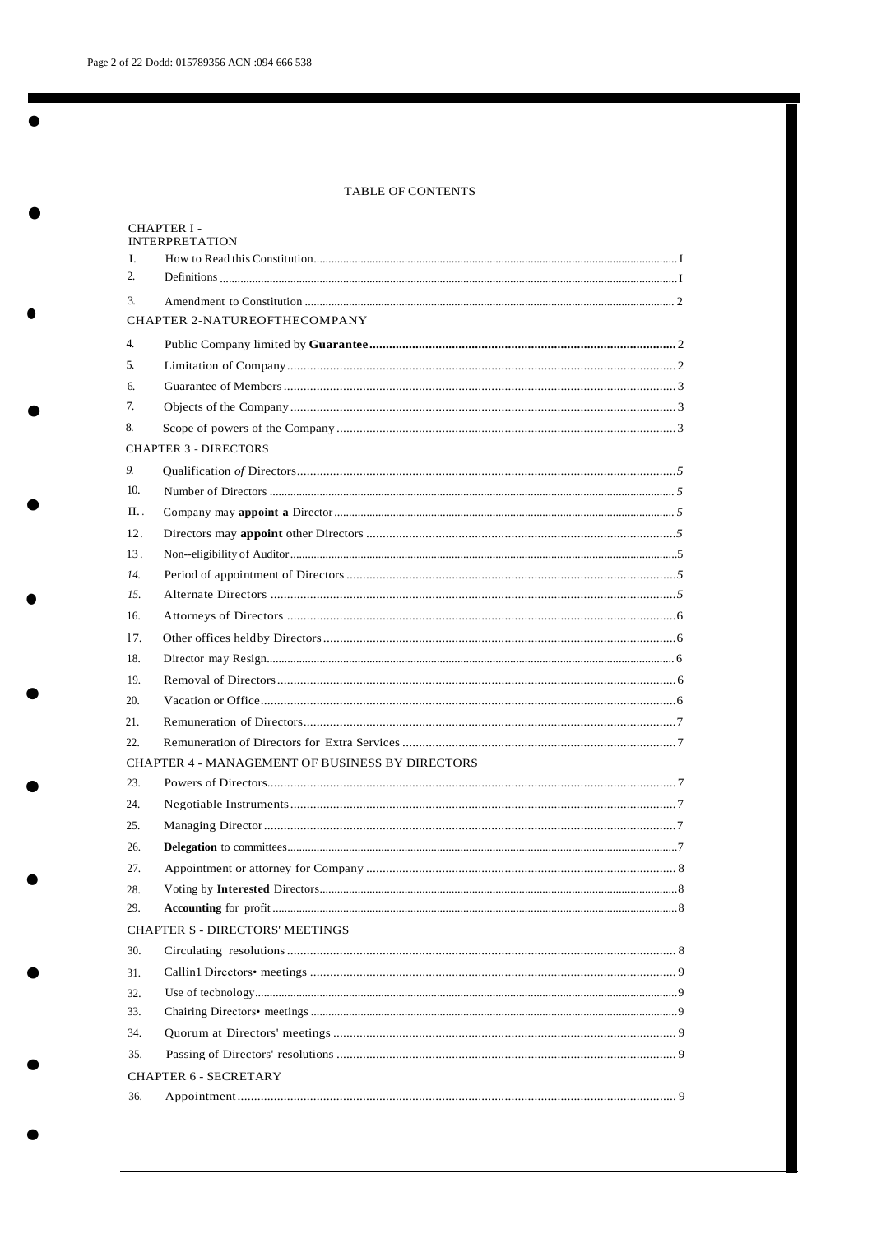# TABLE OF CONTENTS

|                                     | <b>CHAPTER I-</b><br><b>INTERPRETATION</b>                                                                                                                                                                                                                                                                                                                                                                                                                                                                                 |  |  |  |  |  |
|-------------------------------------|----------------------------------------------------------------------------------------------------------------------------------------------------------------------------------------------------------------------------------------------------------------------------------------------------------------------------------------------------------------------------------------------------------------------------------------------------------------------------------------------------------------------------|--|--|--|--|--|
| L                                   |                                                                                                                                                                                                                                                                                                                                                                                                                                                                                                                            |  |  |  |  |  |
| 2.                                  | $\textbf{Definitions} \textcolor{red}{\textbf{}} \textcolor{red}{\textbf{}} \textcolor{red}{\textbf{}} \textcolor{red}{\textbf{}} \textcolor{red}{\textbf{}} \textcolor{red}{\textbf{}} \textcolor{red}{\textbf{}} \textcolor{red}{\textbf{}} \textcolor{red}{\textbf{}} \textcolor{red}{\textbf{}} \textcolor{red}{\textbf{}} \textcolor{red}{\textbf{}} \textcolor{red}{\textbf{}} \textcolor{red}{\textbf{}} \textcolor{red}{\textbf{}} \textcolor{red}{\textbf{}} \textcolor{red}{\textbf{}} \textcolor{red}{\textbf{$ |  |  |  |  |  |
| 3.                                  |                                                                                                                                                                                                                                                                                                                                                                                                                                                                                                                            |  |  |  |  |  |
| <b>CHAPTER 2-NATUREOFTHECOMPANY</b> |                                                                                                                                                                                                                                                                                                                                                                                                                                                                                                                            |  |  |  |  |  |
| $\overline{4}$ .                    |                                                                                                                                                                                                                                                                                                                                                                                                                                                                                                                            |  |  |  |  |  |
| 5.                                  |                                                                                                                                                                                                                                                                                                                                                                                                                                                                                                                            |  |  |  |  |  |
| 6.                                  |                                                                                                                                                                                                                                                                                                                                                                                                                                                                                                                            |  |  |  |  |  |
| 7.                                  |                                                                                                                                                                                                                                                                                                                                                                                                                                                                                                                            |  |  |  |  |  |
| 8.                                  |                                                                                                                                                                                                                                                                                                                                                                                                                                                                                                                            |  |  |  |  |  |
|                                     | <b>CHAPTER 3 - DIRECTORS</b>                                                                                                                                                                                                                                                                                                                                                                                                                                                                                               |  |  |  |  |  |
| 9.                                  |                                                                                                                                                                                                                                                                                                                                                                                                                                                                                                                            |  |  |  |  |  |
| 10.                                 |                                                                                                                                                                                                                                                                                                                                                                                                                                                                                                                            |  |  |  |  |  |
| II                                  |                                                                                                                                                                                                                                                                                                                                                                                                                                                                                                                            |  |  |  |  |  |
| 12.                                 |                                                                                                                                                                                                                                                                                                                                                                                                                                                                                                                            |  |  |  |  |  |
| 13.                                 |                                                                                                                                                                                                                                                                                                                                                                                                                                                                                                                            |  |  |  |  |  |
| 14.                                 |                                                                                                                                                                                                                                                                                                                                                                                                                                                                                                                            |  |  |  |  |  |
| 15.                                 |                                                                                                                                                                                                                                                                                                                                                                                                                                                                                                                            |  |  |  |  |  |
| 16.                                 |                                                                                                                                                                                                                                                                                                                                                                                                                                                                                                                            |  |  |  |  |  |
| 17.                                 |                                                                                                                                                                                                                                                                                                                                                                                                                                                                                                                            |  |  |  |  |  |
| 18.                                 |                                                                                                                                                                                                                                                                                                                                                                                                                                                                                                                            |  |  |  |  |  |
| 19.                                 |                                                                                                                                                                                                                                                                                                                                                                                                                                                                                                                            |  |  |  |  |  |
| 20.                                 |                                                                                                                                                                                                                                                                                                                                                                                                                                                                                                                            |  |  |  |  |  |
| 21.                                 |                                                                                                                                                                                                                                                                                                                                                                                                                                                                                                                            |  |  |  |  |  |
| 22.                                 |                                                                                                                                                                                                                                                                                                                                                                                                                                                                                                                            |  |  |  |  |  |
|                                     | <b>CHAPTER 4 - MANAGEMENT OF BUSINESS BY DIRECTORS</b>                                                                                                                                                                                                                                                                                                                                                                                                                                                                     |  |  |  |  |  |
| 23.                                 |                                                                                                                                                                                                                                                                                                                                                                                                                                                                                                                            |  |  |  |  |  |
| 24.                                 |                                                                                                                                                                                                                                                                                                                                                                                                                                                                                                                            |  |  |  |  |  |
| 25.                                 |                                                                                                                                                                                                                                                                                                                                                                                                                                                                                                                            |  |  |  |  |  |
| 26.                                 |                                                                                                                                                                                                                                                                                                                                                                                                                                                                                                                            |  |  |  |  |  |
| 27.                                 |                                                                                                                                                                                                                                                                                                                                                                                                                                                                                                                            |  |  |  |  |  |
| 28.                                 |                                                                                                                                                                                                                                                                                                                                                                                                                                                                                                                            |  |  |  |  |  |
| 29.                                 |                                                                                                                                                                                                                                                                                                                                                                                                                                                                                                                            |  |  |  |  |  |
|                                     | CHAPTER S - DIRECTORS' MEETINGS                                                                                                                                                                                                                                                                                                                                                                                                                                                                                            |  |  |  |  |  |
| 30.                                 |                                                                                                                                                                                                                                                                                                                                                                                                                                                                                                                            |  |  |  |  |  |
| 31.                                 |                                                                                                                                                                                                                                                                                                                                                                                                                                                                                                                            |  |  |  |  |  |
| 32.                                 |                                                                                                                                                                                                                                                                                                                                                                                                                                                                                                                            |  |  |  |  |  |
| 33.                                 |                                                                                                                                                                                                                                                                                                                                                                                                                                                                                                                            |  |  |  |  |  |
| 34.                                 |                                                                                                                                                                                                                                                                                                                                                                                                                                                                                                                            |  |  |  |  |  |
| 35.                                 |                                                                                                                                                                                                                                                                                                                                                                                                                                                                                                                            |  |  |  |  |  |
|                                     | <b>CHAPTER 6 - SECRETARY</b>                                                                                                                                                                                                                                                                                                                                                                                                                                                                                               |  |  |  |  |  |
| 36.                                 |                                                                                                                                                                                                                                                                                                                                                                                                                                                                                                                            |  |  |  |  |  |
|                                     |                                                                                                                                                                                                                                                                                                                                                                                                                                                                                                                            |  |  |  |  |  |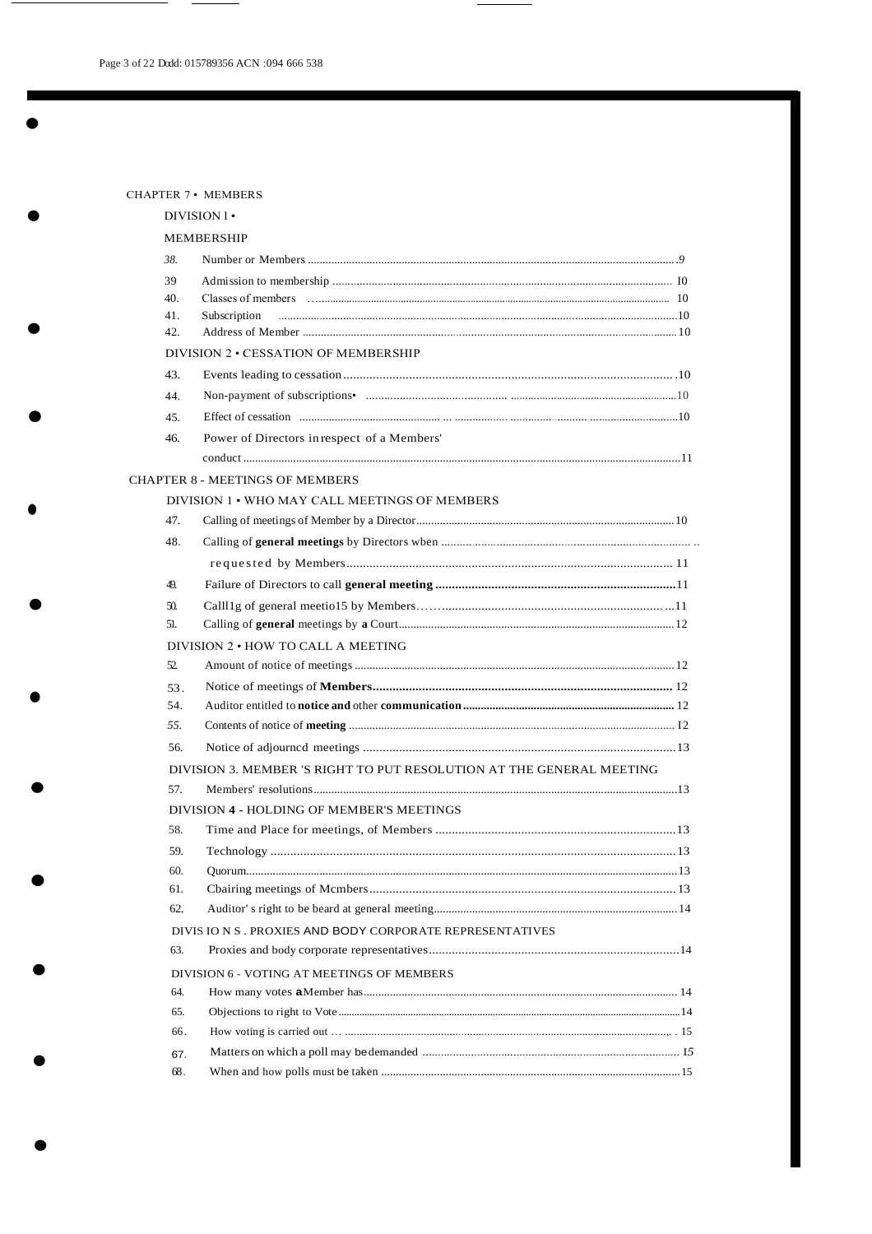|     | <b>CHAPTER 7 • MEMBERS</b>                                           |  |
|-----|----------------------------------------------------------------------|--|
|     | $DIVISION 1 \cdot$                                                   |  |
|     | MEMBERSHIP                                                           |  |
| 38. |                                                                      |  |
| 39  |                                                                      |  |
| 40. |                                                                      |  |
| 41. | Subscription                                                         |  |
| 42. |                                                                      |  |
|     | DIVISION 2 . CESSATION OF MEMBERSHIP                                 |  |
| 43. |                                                                      |  |
| 44. |                                                                      |  |
| 45. |                                                                      |  |
| 46. | Power of Directors in respect of a Members'                          |  |
|     |                                                                      |  |
|     | <b>CHAPTER 8 - MEETINGS OF MEMBERS</b>                               |  |
|     | DIVISION 1 . WHO MAY CALL MEETINGS OF MEMBERS                        |  |
| 47. |                                                                      |  |
| 48. |                                                                      |  |
|     |                                                                      |  |
| 49. |                                                                      |  |
| 50. |                                                                      |  |
| 51. |                                                                      |  |
|     | DIVISION 2 . HOW TO CALL A MEETING                                   |  |
| 52  |                                                                      |  |
| 53. |                                                                      |  |
| 54. |                                                                      |  |
| 55. |                                                                      |  |
| 56. |                                                                      |  |
|     | DIVISION 3. MEMBER 'S RIGHT TO PUT RESOLUTION AT THE GENERAL MEETING |  |
| 57. |                                                                      |  |
|     | DIVISION 4 - HOLDING OF MEMBER'S MEETINGS                            |  |
| 58. |                                                                      |  |
| 59. |                                                                      |  |
| 60. |                                                                      |  |
| 61. |                                                                      |  |
| 62. |                                                                      |  |
|     | DIVIS IO N S. PROXIES AND BODY CORPORATE REPRESENTATIVES             |  |
| 63. |                                                                      |  |
|     | DIVISION 6 - VOTING AT MEETINGS OF MEMBERS                           |  |
| 64. |                                                                      |  |
| 65. |                                                                      |  |
| 66. |                                                                      |  |
| 67. |                                                                      |  |
| 68. |                                                                      |  |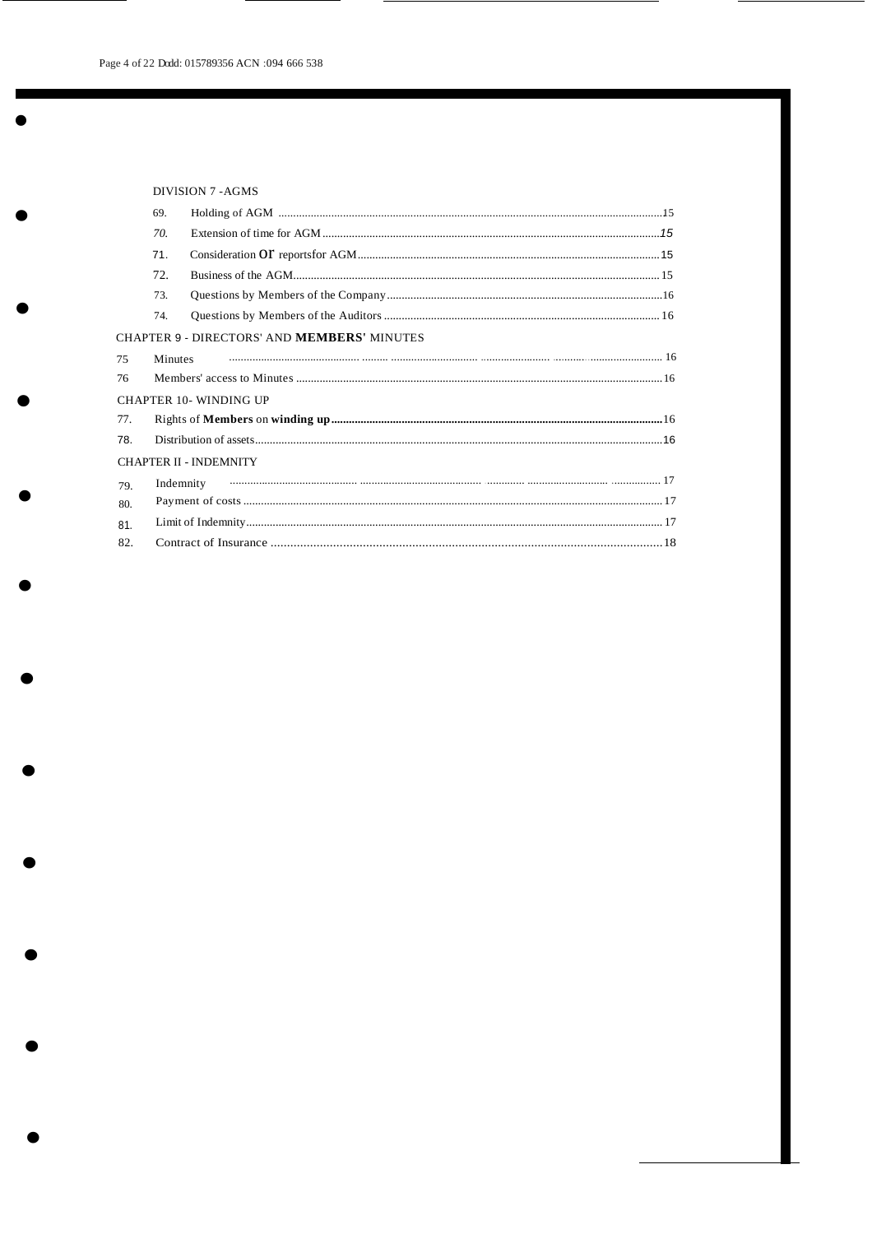|     | DIVISION 7-AGMS |                                                    |  |  |  |
|-----|-----------------|----------------------------------------------------|--|--|--|
|     | 69.             |                                                    |  |  |  |
|     | 70.             |                                                    |  |  |  |
|     | 71.             |                                                    |  |  |  |
|     | 72.             |                                                    |  |  |  |
|     | 73.             |                                                    |  |  |  |
|     | 74.             |                                                    |  |  |  |
|     |                 | CHAPTER 9 - DIRECTORS' AND <b>MEMBERS'</b> MINUTES |  |  |  |
| 75  | <b>Minutes</b>  |                                                    |  |  |  |
| 76  |                 |                                                    |  |  |  |
|     |                 | <b>CHAPTER 10- WINDING UP</b>                      |  |  |  |
| 77. |                 |                                                    |  |  |  |
| 78. |                 |                                                    |  |  |  |
|     |                 | <b>CHAPTER II - INDEMNITY</b>                      |  |  |  |
| 79. |                 | Indemnity                                          |  |  |  |
| 80. |                 |                                                    |  |  |  |
| 81. |                 |                                                    |  |  |  |
| 82. |                 |                                                    |  |  |  |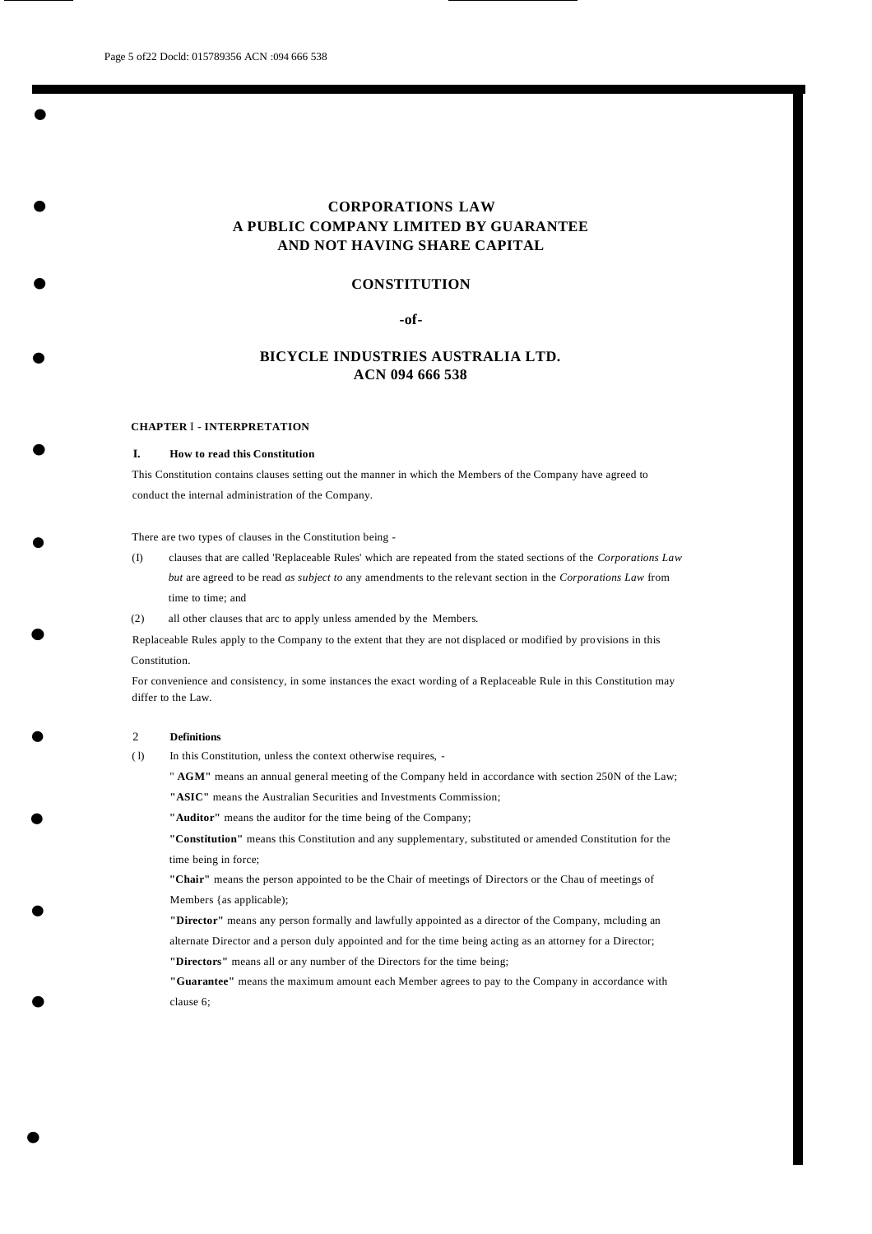—<br>●<br>●

•

•

•

•

•

•

# **CORPORATIONS LAW A PUBLIC COMPANY LIMITED BY GUARANTEE AND NOT HAVING SHARE CAPITAL**

### **CONSTITUTION**

# **-of-**

# **BICYCLE INDUSTRIES AUSTRALIA LTD. ACN 094 666 538**

#### **CHAPTER** I - **INTERPRETATION**

#### **I. How to read this Constitution**

This Constitution contains clauses setting out the manner in which the Members of the Company have agreed to conduct the internal administration of the Company.

There are two types of clauses in the Constitution being -

- (I) clauses that are called 'Replaceable Rules' which are repeated from the stated sections of the *Corporations Law but* are agreed to be read *as subject to* any amendments to the relevant section in the *Corporations Law* from time to time; and
- (2) all other clauses that arc to apply unless amended by the Members.

Replaceable Rules apply to the Company to the extent that they are not displaced or modified by provisions in this Constitution.

For convenience and consistency, in some instances the exact wording of a Replaceable Rule in this Constitution may differ to the Law.

### 2 **Definitions**

•

•

•

•

•

( l) In this Constitution, unless the context otherwise requires, -

" **AGM"** means an annual general meeting of the Company held in accordance with section 250N of the Law;

**"ASIC"** means the Australian Securities and Investments Commission;

**"Auditor"** means the auditor for the time being of the Company;

**"Constitution"** means this Constitution and any supplementary, substituted or amended Constitution for the time being in force;

**"Chair"** means the person appointed to be the Chair of meetings of Directors or the Chau of meetings of Members {as applicable);

**"Director"** means any person formally and lawfully appointed as a director of the Company, mcluding an alternate Director and a person duly appointed and for the time being acting as an attorney for a Director; **"Directors"** means all or any number of the Directors for the time being;

**"Guarantee"** means the maximum amount each Member agrees to pay to the Company in accordance with clause 6;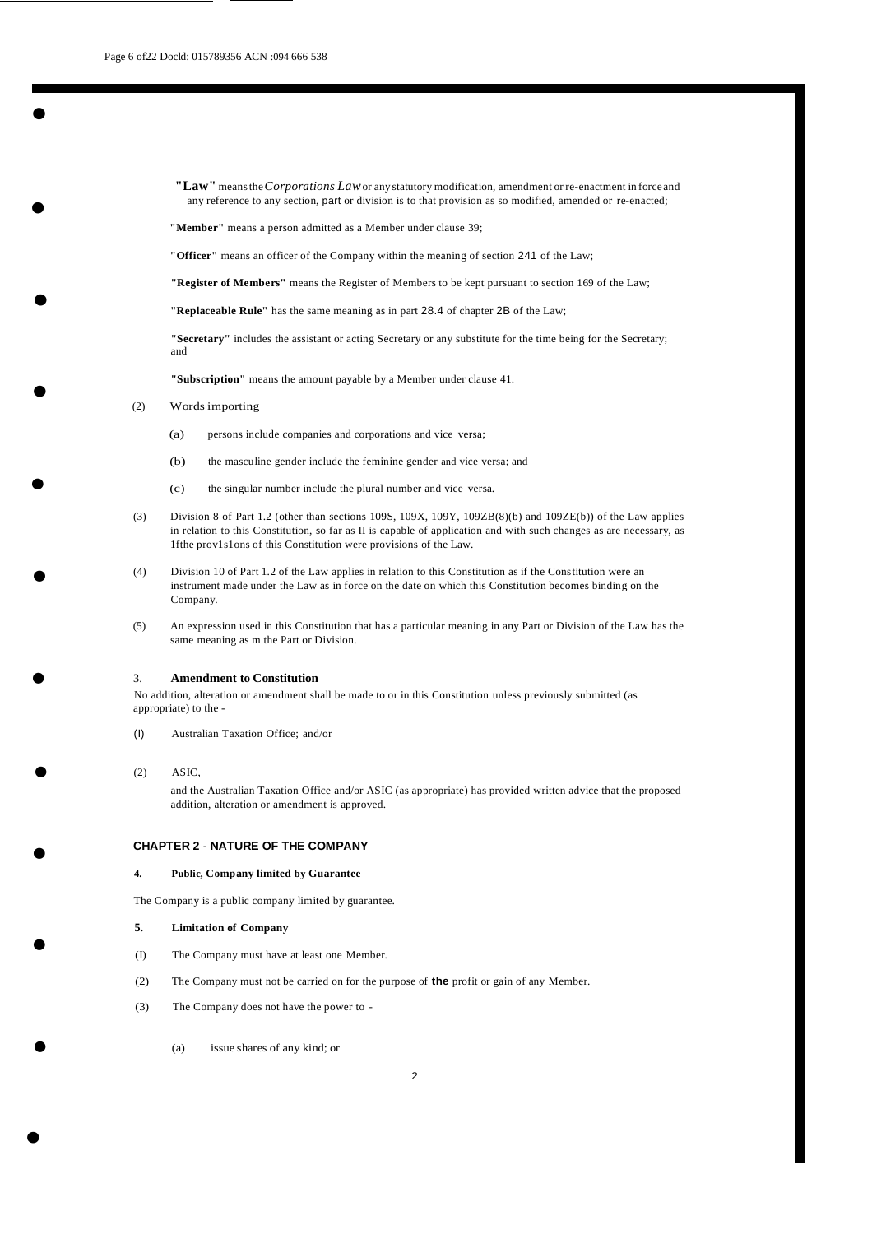•<br>•

•

•

•

**"Law"** meansthe*Corporations Law*or any statutory modification, amendment or re-enactment in force and any reference to any section, part or division is to that provision as so modified, amended or re-enacted;

**"Member"** means a person admitted as a Member under clause 39;

**"Officer"** means an officer of the Company within the meaning of section 241 of the Law;

**"Register of Members"** means the Register of Members to be kept pursuant to section 169 of the Law;

**"Replaceable Rule"** has the same meaning as in part 28.4 of chapter 2B of the Law;

**"Secretary"** includes the assistant or acting Secretary or any substitute for the time being for the Secretary; and

**"Subscription"** means the amount payable by a Member under clause 41.

- (2) Words importing
	- (a) persons include companies and corporations and vice versa;
	- (b) the masculine gender include the feminine gender and vice versa; and
	- (c) the singular number include the plural number and vice versa.
- (3) Division 8 of Part 1.2 (other than sections 109S, 109X, 109Y, 109ZB(8)(b) and 109ZE(b)) of the Law applies in relation to this Constitution, so far as II is capable of application and with such changes as are necessary, as 1fthe prov1s1ons of this Constitution were provisions of the Law.
- (4) Division 10 of Part 1.2 of the Law applies in relation to this Constitution as if the Constitution were an instrument made under the Law as in force on the date on which this Constitution becomes binding on the Company.
- (5) An expression used in this Constitution that has a particular meaning in any Part or Division of the Law has the same meaning as m the Part or Division.

#### 3. **Amendment to Constitution**

No addition, alteration or amendment shall be made to or in this Constitution unless previously submitted (as appropriate) to the -

- (I) Australian Taxation Office; and/or
- (2) ASIC,

•

•

•

•

•

•

•

•

and the Australian Taxation Office and/or ASIC (as appropriate) has provided written advice that the proposed addition, alteration or amendment is approved.

# **CHAPTER 2** - **NATURE OF THE COMPANY**

#### **4. Public, Company limited by Guarantee**

The Company is a public company limited by guarantee.

#### **5. Limitation of Company**

- (I) The Company must have at least one Member.
- (2) The Company must not be carried on for the purpose of **the** profit or gain of any Member.
- (3) The Company does not have the power to
	- (a) issue shares of any kind; or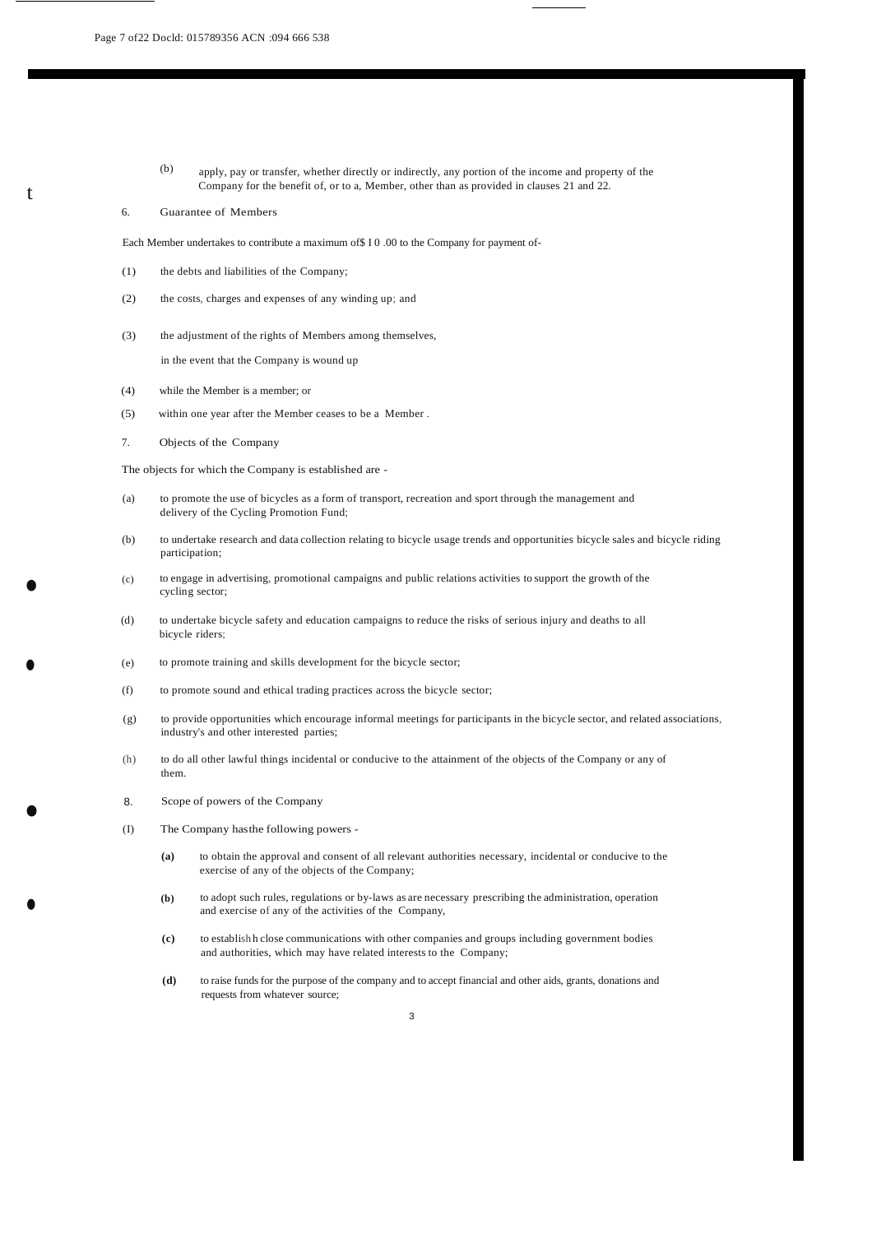- (b) apply, pay or transfer, whether directly or indirectly, any portion of the income and property of the Company for the benefit of, or to a, Member, other than as provided in clauses 21 and 22.
- 6. Guarantee of Members

t

•

•

•

•

Each Member undertakes to contribute a maximum of\$ I 0 .00 to the Company for payment of-

- (1) the debts and liabilities of the Company;
- (2) the costs, charges and expenses of any winding up; and
- (3) the adjustment of the rights of Members among themselves,

in the event that the Company is wound up

- (4) while the Member is a member; or
- (5) within one year after the Member ceases to be a Member .
- 7. Objects of the Company

The objects for which the Company is established are -

- (a) to promote the use of bicycles as a form of transport, recreation and sport through the management and delivery of the Cycling Promotion Fund;
- (b) to undertake research and data collection relating to bicycle usage trends and opportunities bicycle sales and bicycle riding participation;
- (c) to engage in advertising, promotional campaigns and public relations activities to support the growth of the cycling sector;
- (d) to undertake bicycle safety and education campaigns to reduce the risks of serious injury and deaths to all bicycle riders;
- (e) to promote training and skills development for the bicycle sector;
- (f) to promote sound and ethical trading practices across the bicycle sector;
- (g) to provide opportunities which encourage informal meetings for participants in the bicycle sector, and related associations, industry's and other interested parties;
- (h) to do all other lawful things incidental or conducive to the attainment of the objects of the Company or any of them.
- 8. Scope of powers of the Company
- (I) The Company hasthe following powers
	- **(a)** to obtain the approval and consent of all relevant authorities necessary, incidental or conducive to the exercise of any of the objects of the Company;
	- **(b)** to adopt such rules, regulations or by-laws as are necessary prescribing the administration, operation and exercise of any of the activities of the Company,
	- **(c)** to establish h close communications with other companies and groups including government bodies and authorities, which may have related interests to the Company;
	- **(d)** to raise fundsfor the purpose of the company and to accept financial and other aids, grants, donations and requests from whatever source;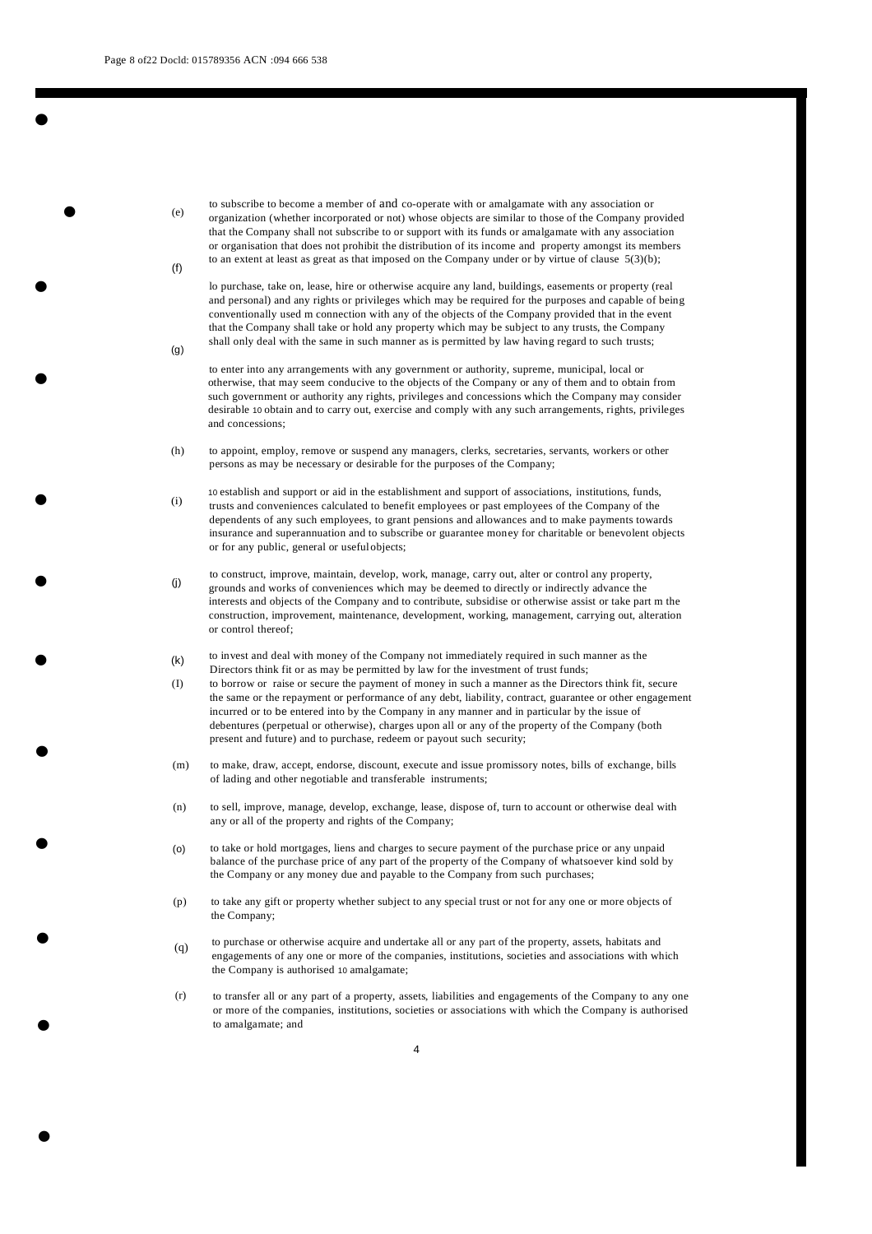$(a)$ 

•

•

•

•

•

•

•

•

•

•

•

(e)  $(f)$ to subscribe to become a member of and co-operate with or amalgamate with any association or organization (whether incorporated or not) whose objects are similar to those of the Company provided that the Company shall not subscribe to or support with its funds or amalgamate with any association or organisation that does not prohibit the distribution of its income and property amongst its members to an extent at least as great as that imposed on the Company under or by virtue of clause  $5(3)(b)$ ;

lo purchase, take on, lease, hire or otherwise acquire any land, buildings, easements or property (real and personal) and any rights or privileges which may be required for the purposes and capable of being conventionally used m connection with any of the objects of the Company provided that in the event that the Company shall take or hold any property which may be subject to any trusts, the Company shall only deal with the same in such manner as is permitted by law having regard to such trusts;

to enter into any arrangements with any government or authority, supreme, municipal, local or otherwise, that may seem conducive to the objects of the Company or any of them and to obtain from such government or authority any rights, privileges and concessions which the Company may consider desirable 10 obtain and to carry out, exercise and comply with any such arrangements, rights, privileges and concessions;

- (h) to appoint, employ, remove or suspend any managers, clerks, secretaries, servants, workers or other persons as may be necessary or desirable for the purposes of the Company;
- (i) 10 establish and support or aid in the establishment and support of associations, institutions, funds, trusts and conveniences calculated to benefit employees or past employees of the Company of the dependents of any such employees, to grant pensions and allowances and to make payments towards insurance and superannuation and to subscribe or guarantee money for charitable or benevolent objects or for any public, general or usefulobjects;
- (j) to construct, improve, maintain, develop, work, manage, carry out, alter or control any property, grounds and works of conveniences which may be deemed to directly or indirectly advance the interests and objects of the Company and to contribute, subsidise or otherwise assist or take part m the construction, improvement, maintenance, development, working, management, carrying out, alteration or control thereof;
- (k) to invest and deal with money of the Company not immediately required in such manner as the Directors think fit or as may be permitted by law for the investment of trust funds;
- (I) to borrow or raise or secure the payment of money in such a manner as the Directors think fit, secure the same or the repayment or performance of any debt, liability, contract, guarantee or other engagement incurred or to be entered into by the Company in any manner and in particular by the issue of debentures (perpetual or otherwise), charges upon all or any of the property of the Company (both present and future) and to purchase, redeem or payout such security;
- (m) to make, draw, accept, endorse, discount, execute and issue promissory notes, bills of exchange, bills of lading and other negotiable and transferable instruments;
- (n) to sell, improve, manage, develop, exchange, lease, dispose of, turn to account or otherwise deal with any or all of the property and rights of the Company;
- (o) to take or hold mortgages, liens and charges to secure payment of the purchase price or any unpaid balance of the purchase price of any part of the property of the Company of whatsoever kind sold by the Company or any money due and payable to the Company from such purchases;
- (p) to take any gift or property whether subject to any special trust or not for any one or more objects of the Company;
- $\bullet$  (q) to purchase or otherwise acquire and undertake all or any part of the property, assets, habitats and engagements of any one or more of the companies, institutions, societies and associations with which the Company is authorised 10 amalgamate;
	- (r) to transfer all or any part of a property, assets, liabilities and engagements of the Company to any one or more of the companies, institutions, societies or associations with which the Company is authorised to amalgamate; and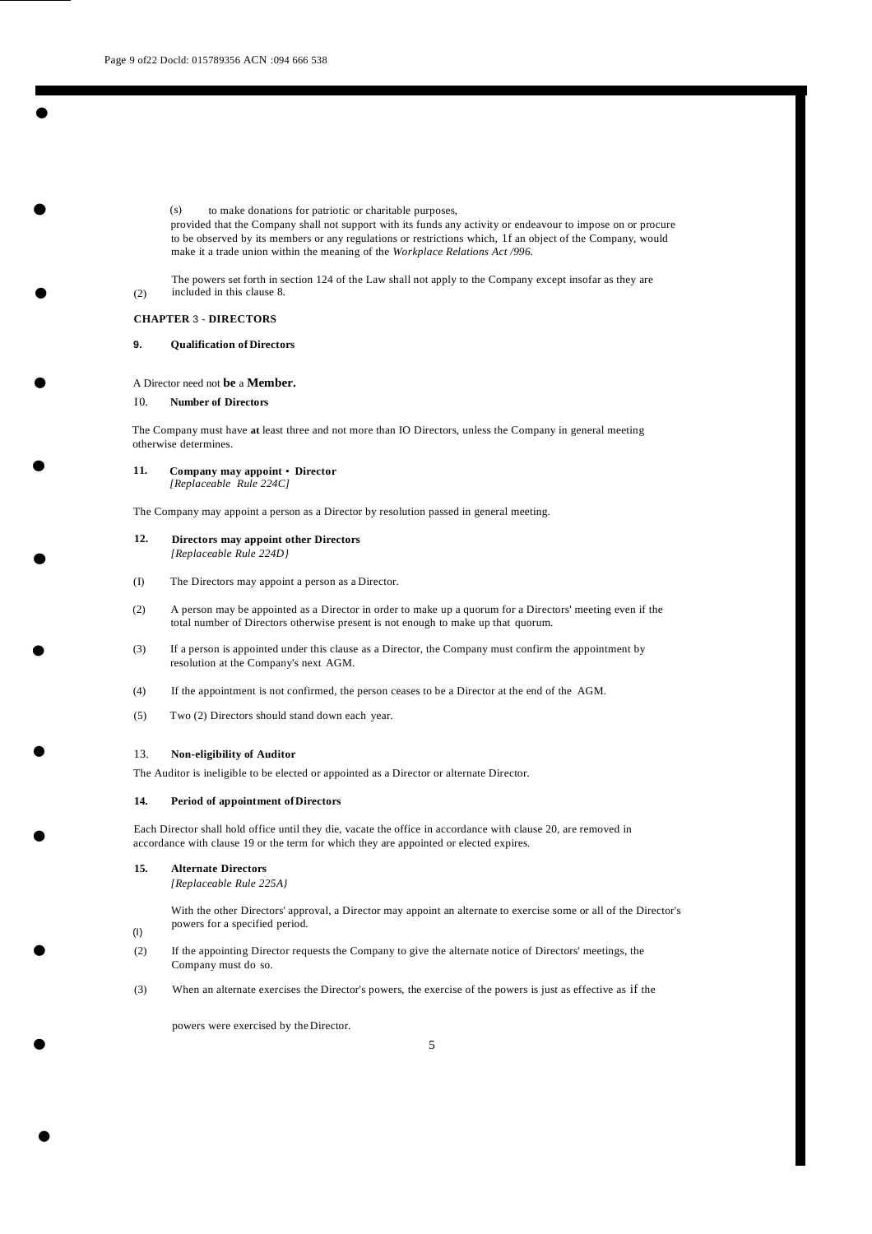(s) to make donations for patriotic or charitable purposes,

provided that the Company shall not support with its funds any activity or endeavour to impose on or procure to be observed by its members or any regulations or restrictions which, 1f an object of the Company, would make it a trade union within the meaning of the *Workplace Relations Act /996.*

The powers set forth in section 124 of the Law shall not apply to the Company except insofar as they are included in this clause 8.

(2)

•<br>•

•

•

•

•

•

•

•

•

•

•

#### **CHAPTER** 3 - **DIRECTORS**

#### **9. Qualification of Directors**

#### A Director need not **be** a **Member.**

#### I0. **Number of Directors**

The Company must have **at** least three and not more than IO Directors, unless the Company in general meeting otherwise determines.

# **11. Company may appoint** • **Director**

*[Replaceable Rule 224C]*

The Company may appoint a person as a Director by resolution passed in general meeting.

#### <span id="page-9-0"></span>**12. Directors may appoint other Directors** *[Replaceable Rule 224D}*

- (I) The Directors may appoint a person as a Director.
- (2) A person may be appointed as a Director in order to make up a quorum for a Directors' meeting even if the total number of Directors otherwise present is not enough to make up that quorum.
- (3) If a person is appointed under this clause as a Director, the Company must confirm the appointment by resolution at the Company's next AGM.
- (4) If the appointment is not confirmed, the person ceases to be a Director at the end of the AGM.
- (5) Two (2) Directors should stand down each year.

#### 13. **Non-eligibility of Auditor**

The Auditor is ineligible to be elected or appointed as a Director or alternate Director.

#### **14. Period of appointment ofDirectors**

Each Director shall hold office until they die, vacate the office in accordance with clause 20, are removed in accordance with clause 19 or the term for which they are appointed or elected expires.

### **15. Alternate Directors**

*[Replaceable Rule 225A}*

With the other Directors' approval, a Director may appoint an alternate to exercise some or all of the Director's powers for a specified period.

(I)

•

- (2) If the appointing Director requests the Company to give the alternate notice of Directors' meetings, the Company must do so.
- (3) When an alternate exercises the Director's powers, the exercise of the powers is just as effective as if the

powers were exercised by the Director.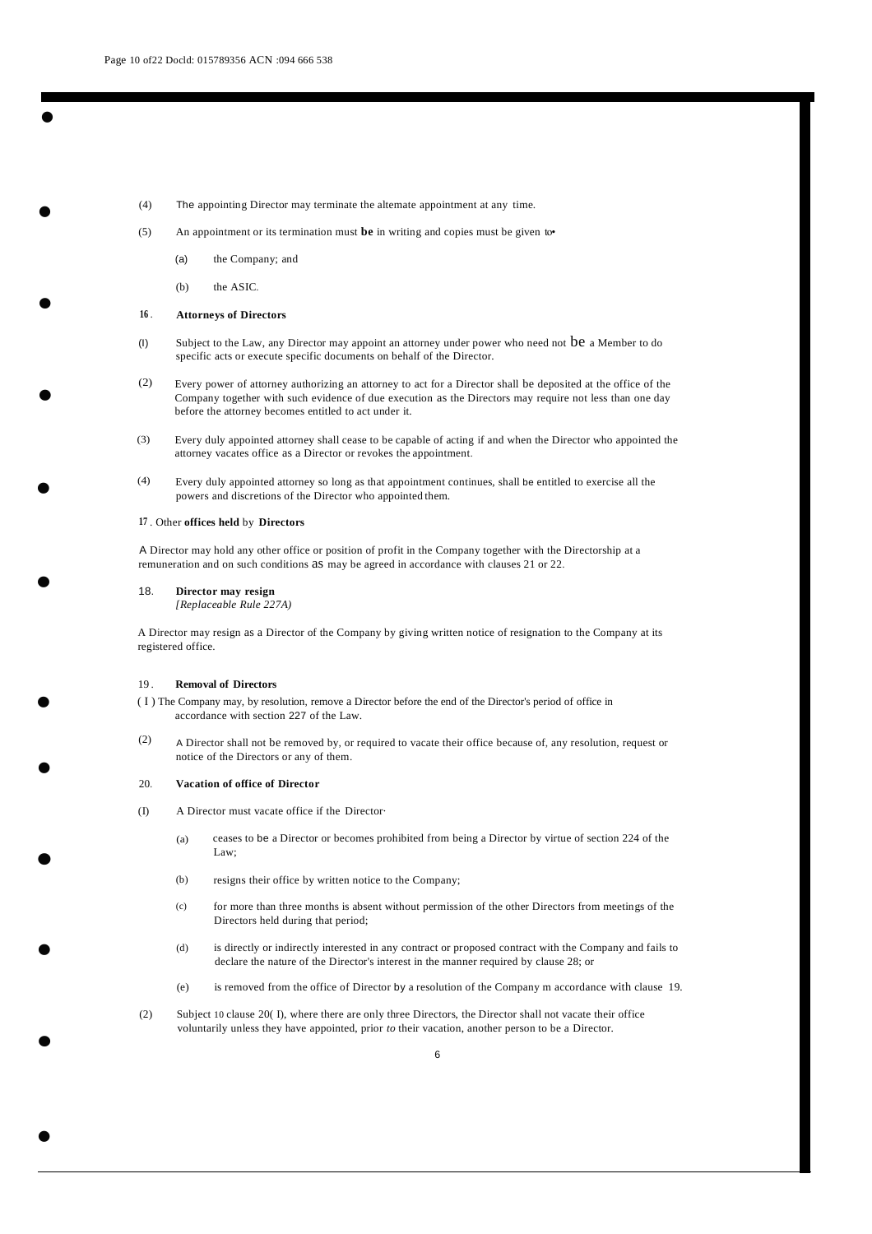•

•

•

•

<span id="page-10-0"></span>•

- (4) The appointing Director may terminate the altemate appointment at any time.
- (5) An appointment or its termination must **be** in writing and copies must be given to•
	- (a) the Company; and
	- (b) the ASIC.

#### **16** . **Attorneys of Directors**

- (I) Subject to the Law, any Director may appoint an attorney under power who need not be a Member to do specific acts or execute specific documents on behalf of the Director.
- (2) Every power of attorney authorizing an attorney to act for a Director shall be deposited at the office of the Company together with such evidence of due execution as the Directors may require not less than one day before the attorney becomes entitled to act under it.
- (3) Every duly appointed attorney shall cease to be capable of acting if and when the Director who appointed the attorney vacates office as a Director or revokes the appointment.
- (4) Every duly appointed attorney so long as that appointment continues, shall be entitled to exercise all the powers and discretions of the Director who appointed them.

#### **17** . Other **offices held** by **Directors**

A Director may hold any other office or position of profit in the Company together with the Directorship at a remuneration and on such conditions as may be agreed in accordance with clauses 21 or 22.

#### 18. **Director may resign**

*[Replaceable Rule 227A)*

A Director may resign as a Director of the Company by giving written notice of resignation to the Company at its registered office.

#### 19 . **Removal of Directors**

- ( I ) The Company may, by resolution, remove a Director before the end of the Director's period of office in accordance with section 227 of the Law.
- (2) A Director shall not be removed by, or required to vacate their office because of, any resolution, request or notice of the Directors or any of them.

#### 20. **Vacation of office of Director**

•

<span id="page-10-1"></span>•

•

•

•

- (I) A Director must vacate office if the Director·
	- (a) ceases to be a Director or becomes prohibited from being a Director by virtue of section 224 of the Law;
	- (b) resigns their office by written notice to the Company;
	- $(c)$ for more than three months is absent without permission of the other Directors from meetings of the Directors held during that period;
	- (d) is directly or indirectly interested in any contract or proposed contract with the Company and fails to declare the nature of the Director's interest in the manner required by clause 28; or
	- (e) is removed from the office of Director by a resolution of the Company m accordance with clause 19.
- (2) Subject 10 clause 20( I), where there are only three Directors, the Director shall not vacate their office voluntarily unless they have appointed, prior *to* their vacation, another person to be a Director.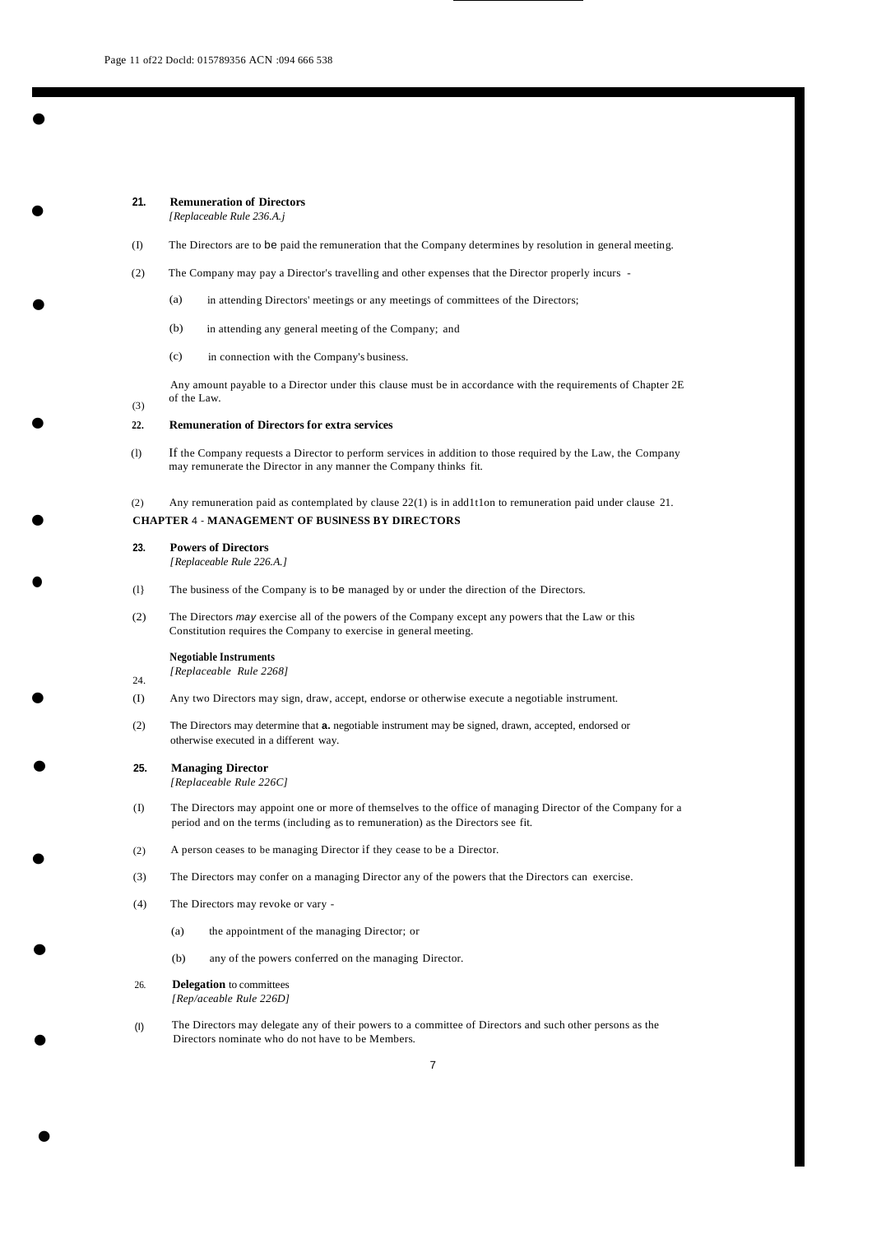•

•

<span id="page-11-0"></span>•

•

<span id="page-11-1"></span>•

•

<span id="page-11-2"></span>•

•

#### **21. Remuneration of Directors** *[Replaceable Rule 236.A.j*

- (I) The Directors are to be paid the remuneration that the Company determines by resolution in general meeting.
- (2) The Company may pay a Director's travelling and other expenses that the Director properly incurs
	- (a) in attending Directors' meetings or any meetings of committees of the Directors;
	- (b) in attending any general meeting of the Company; and
	- (c) in connection with the Company's business.

(3) Any amount payable to a Director under this clause must be in accordance with the requirements of Chapter 2E of the Law.

#### **22. Remuneration of Directors for extra services**

(l) If the Company requests a Director to perform services in addition to those required by the Law, the Company may remunerate the Director in any manner the Company thinks fit.

(2) Any remuneration paid as contemplated by clause 22(1) is in add1t1on to remuneration paid under clause 21.

# **CHAPTER** 4 - **MANAGEMENT OF BUSlNESS BY DIRECTORS**

#### **23. Powers of Directors**

*[Replaceable Rule 226.A.]*

- (l} The business of the Company is to be managed by or under the direction of the Directors.
- (2) The Directors *may* exercise all of the powers of the Company except any powers that the Law or this Constitution requires the Company to exercise in general meeting.

#### **Negotiable Instruments**

- 24. *[Replaceable Rule 2268]*
- (I) Any two Directors may sign, draw, accept, endorse or otherwise execute a negotiable instrument.
- (2) The Directors may determine that **a.** negotiable instrument may be signed, drawn, accepted, endorsed or otherwise executed in a different way.

# **25. Managing Director**

*[Replaceable Rule 226C]*

- (I) The Directors may appoint one or more of themselves to the office of managing Director of the Company for a period and on the terms (including as to remuneration) as the Directors see fit.
- (2) A person ceases to be managing Director if they cease to be a Director.
- (3) The Directors may confer on a managing Director any of the powers that the Directors can exercise.
- (4) The Directors may revoke or vary
	- (a) the appointment of the managing Director; or
	- (b) any of the powers conferred on the managing Director.

# 26. **Delegation** to committees

•

•

•

*[Rep/aceable Rule 226D]*

(I) The Directors may delegate any of their powers to a committee of Directors and such other persons as the Directors nominate who do not have to be Members.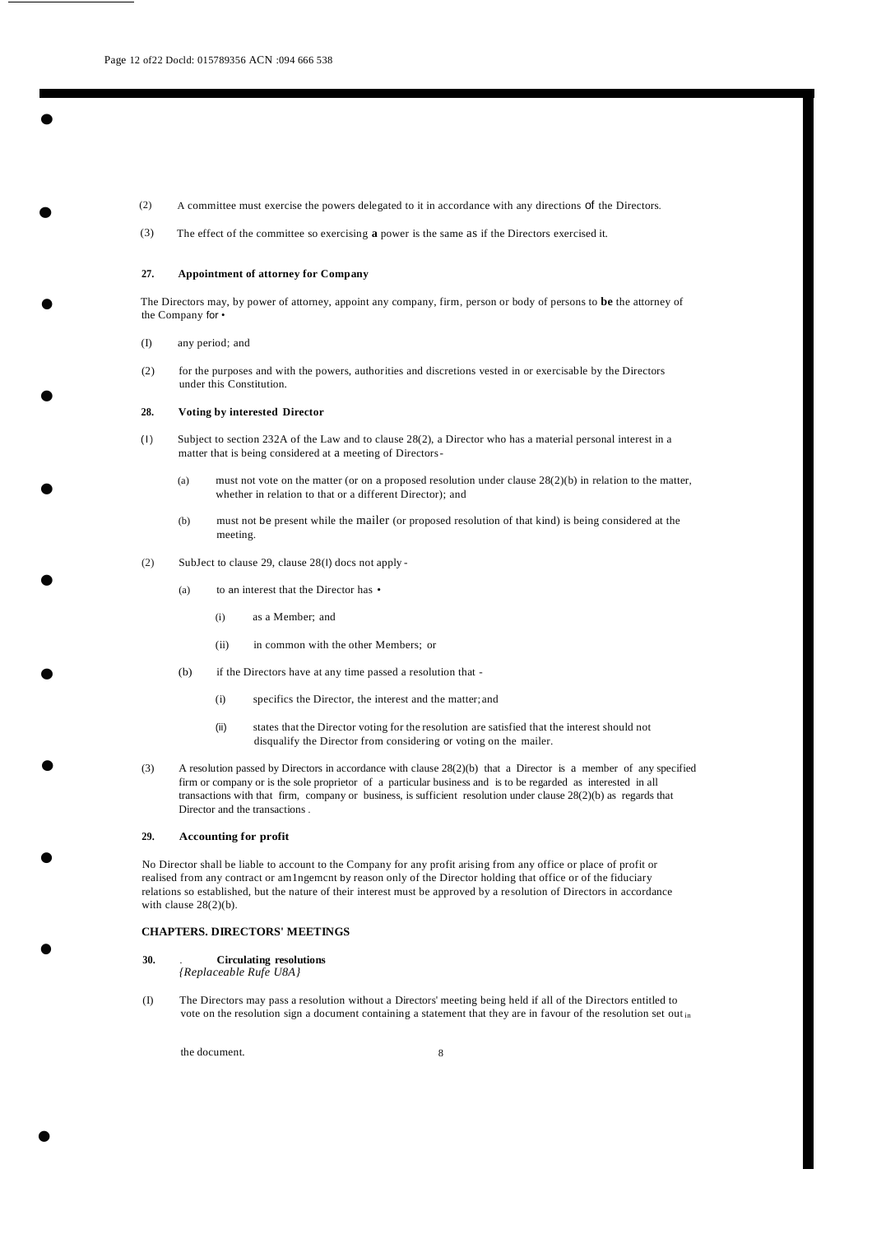—<br>●<br>●

•

•

•

- (2) A committee must exercise the powers delegated to it in accordance with any directions of the Directors.
- (3) The effect of the committee so exercising **a** power is the same as if the Directors exercised it.

#### **27. Appointment of attorney for Company**

The Directors may, by power of attorney, appoint any company, firm, person or body of persons to **be** the attorney of the Company for •

- (I) any period; and
- (2) for the purposes and with the powers, authorities and discretions vested in or exercisable by the Directors under this Constitution.

#### **28. Voting by interested Director**

- (I) Subject to section 232A of the Law and to clause 28(2), a Director who has a material personal interest in a matter that is being considered at a meeting of Directors-
	- (a) must not vote on the matter (or on a proposed resolution under clause  $28(2)(b)$  in relation to the matter, whether in relation to that or a different Director); and
	- (b) must not be present while the mailer (or proposed resolution of that kind) is being considered at the meeting.
- (2) SubJect to clause 29, clause 28(I) docs not apply
	- (a) to an interest that the Director has
		- (i) as a Member; and
		- (ii) in common with the other Members; or
	- $(h)$ if the Directors have at any time passed a resolution that -
		- (i) specifics the Director, the interest and the matter; and
		- (ii) states that the Director voting for the resolution are satisfied that the interest should not disqualify the Director from considering or voting on the mailer.
- (3) A resolution passed by Directors in accordance with clause 28(2)(b) that a Director is a member of any specified firm or company or is the sole proprietor of a particular business and is to be regarded as interested in all transactions with that firm, company or business, is sufficient resolution under clause 28(2)(b) as regards that Director and the transactions .

#### **29. Accounting for profit**

No Director shall be liable to account to the Company for any profit arising from any office or place of profit or realised from any contract or am1ngemcnt by reason only of the Director holding that office or of the fiduciary relations so established, but the nature of their interest must be approved by a resolution of Directors in accordance with clause 28(2)(b).

### <span id="page-12-0"></span>**CHAPTERS. DIRECTORS' MEETINGS**

**30.** . **Circulating resolutions**

*{Replaceable Rufe U8A}*

(I) The Directors may pass a resolution without a Directors' meeting being held if all of the Directors entitled to vote on the resolution sign a document containing a statement that they are in favour of the resolution set out in

the document.

•

•

•

•

•

•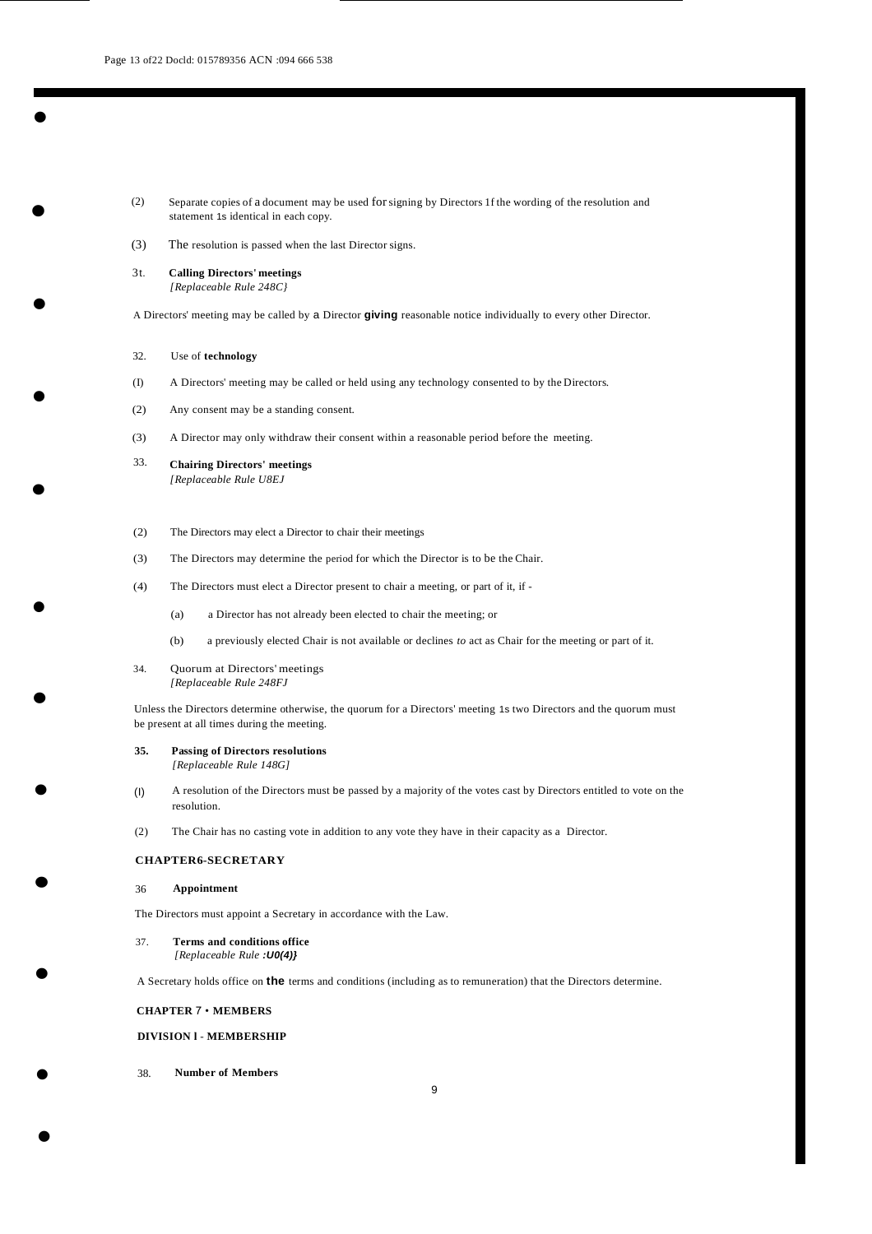•

•

•

•

•

•

•

•

•

- (2) Separate copies of a document may be used forsigning by Directors 1f the wording of the resolution and statement 1s identical in each copy.
- (3) The resolution is passed when the last Director signs.
- 3t. **Calling Directors' meetings** *[Replaceable Rule 248C}*

A Directors' meeting may be called by a Director **giving** reasonable notice individually to every other Director.

- 32. Use of **technology**
- (I) A Directors' meeting may be called or held using any technology consented to by the Directors.
- (2) Any consent may be a standing consent.
- (3) A Director may only withdraw their consent within a reasonable period before the meeting.
- 33. **Chairing Directors' meetings** *[Replaceable Rule U8EJ*
- (2) The Directors may elect a Director to chair their meetings
- (3) The Directors may determine the period for which the Director is to be the Chair.
- (4) The Directors must elect a Director present to chair a meeting, or part of it, if
	- (a) a Director has not already been elected to chair the meeting; or
	- (b) a previously elected Chair is not available or declines *to* act as Chair for the meeting or part of it.
- 34. Quorum at Directors' meetings *[Replaceable Rule 248FJ*

Unless the Directors determine otherwise, the quorum for a Directors' meeting 1s two Directors and the quorum must be present at all times during the meeting.

#### **35. Passing of Directors resolutions**

*[Replaceable Rule 148G]*

- (I) A resolution of the Directors must be passed by a majority of the votes cast by Directors entitled to vote on the resolution.
- (2) The Chair has no casting vote in addition to any vote they have in their capacity as a Director.

### <span id="page-13-0"></span>**CHAPTER6-SECRETARY**

#### 36 **Appointment**

The Directors must appoint a Secretary in accordance with the Law.

37. **Terms and conditions office** *[Replaceable Rule :U0(4)}*

A Secretary holds office on **the** terms and conditions (including as to remuneration) that the Directors determine.

#### **CHAPTER** 7 • **MEMBERS**

#### **DIVISION l** - **MEMBERSHIP**

38. **Number of Members**

•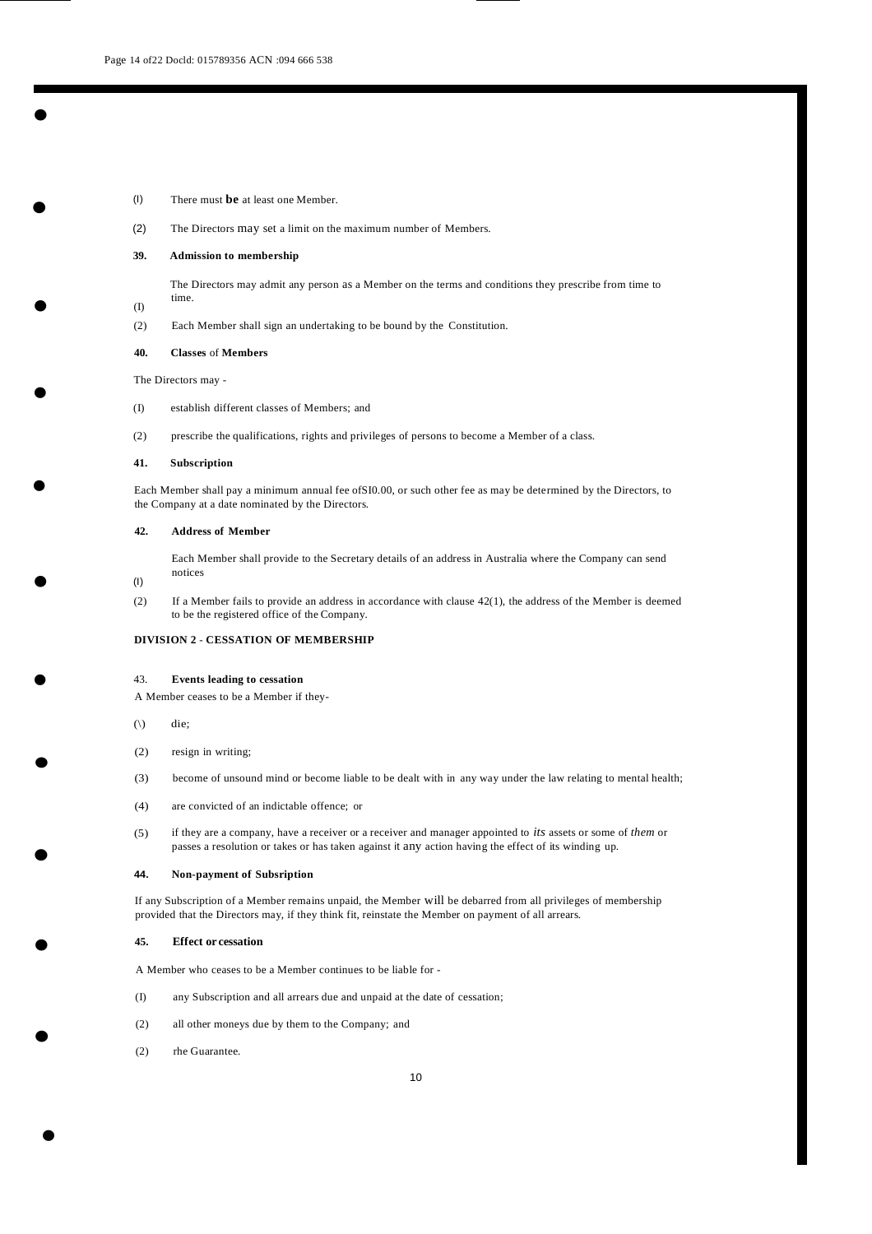•

•

•

•

•

•

•

•

•

•

- (I) There must **be** at least one Member.
- (2) The Directors may set a limit on the maximum number of Members.

#### **39. Admission to membership**

The Directors may admit any person as a Member on the terms and conditions they prescribe from time to time.

(2) Each Member shall sign an undertaking to be bound by the Constitution.

#### **40. Classes** of **Members**

The Directors may -

(I)

- (I) establish different classes of Members; and
- (2) prescribe the qualifications, rights and privileges of persons to become a Member of a class.

#### **41. Subscription**

Each Member shall pay a minimum annual fee ofSI0.00, or such other fee as may be determined by the Directors, to the Company at a date nominated by the Directors.

#### **42. Address of Member**

Each Member shall provide to the Secretary details of an address in Australia where the Company can send notices

- (I)
- (2) If a Member fails to provide an address in accordance with clause  $42(1)$ , the address of the Member is deemed to be the registered office of the Company.

#### **DIVISION 2** - **CESSATION OF MEMBERSHIP**

#### 43. **Events leading to cessation**

A Member ceases to be a Member if they-

- $(\rangle)$  die;
- (2) resign in writing;
- (3) become of unsound mind or become liable to be dealt with in any way under the law relating to mental health;
- (4) are convicted of an indictable offence; or
- (5) if they are a company, have a receiver or a receiver and manager appointed to *its* assets or some of *them* or passes a resolution or takes or has taken against it any action having the effect of its winding up.

#### **44. Non-payment of Subsription**

If any Subscription of a Member remains unpaid, the Member will be debarred from all privileges of membership provided that the Directors may, if they think fit, reinstate the Member on payment of all arrears.

#### **45. Effect or cessation**

A Member who ceases to be a Member continues to be liable for -

- (I) any Subscription and all arrears due and unpaid at the date of cessation;
- (2) all other moneys due by them to the Company; and
- (2) rhe Guarantee.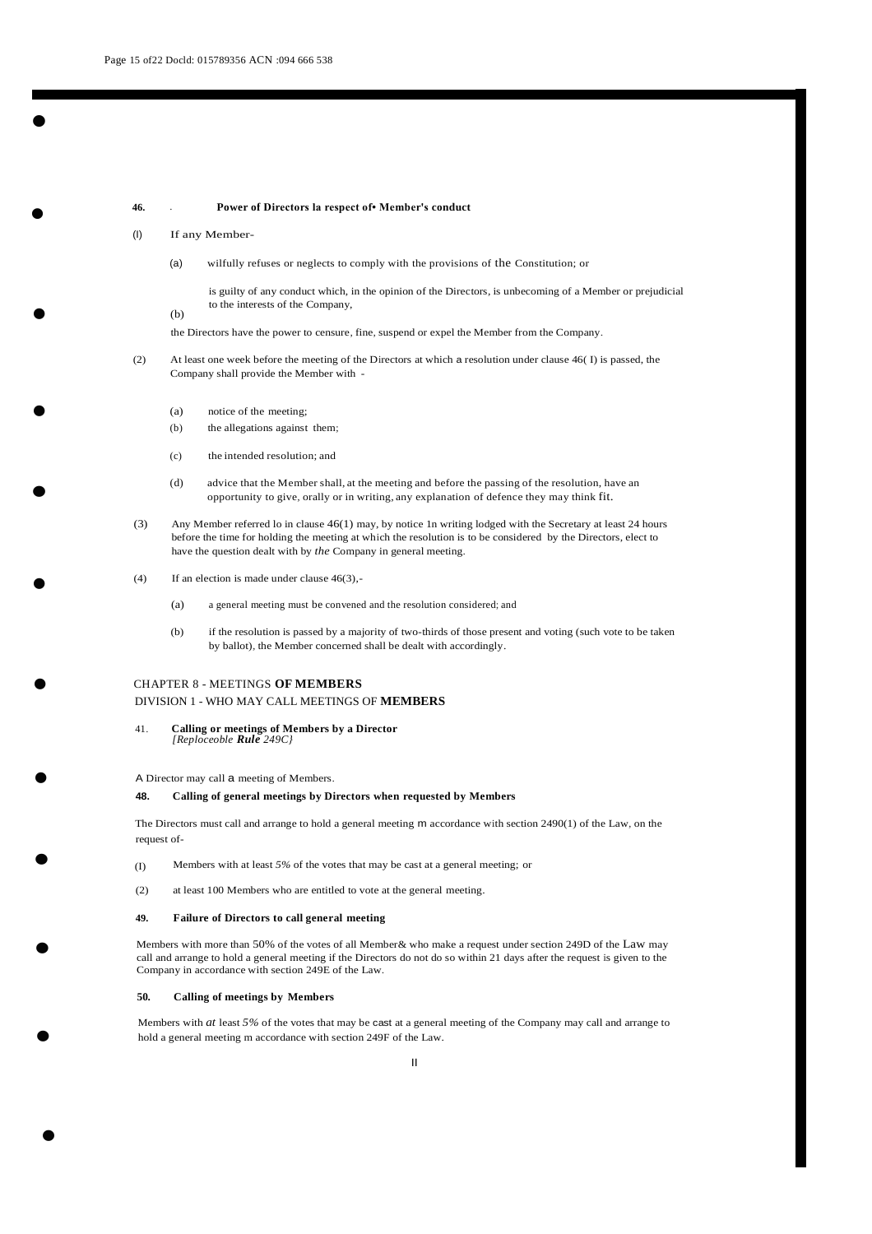**46.** . **Power of Directors la respect of• Member's conduct**

#### (I) If any Member-

(a) wilfully refuses or neglects to comply with the provisions of the Constitution; or

is guilty of any conduct which, in the opinion of the Directors, is unbecoming of a Member or prejudicial to the interests of the Company,

(b)

•

•

•

•

•

•

•

•

•

•

•

the Directors have the power to censure, fine, suspend or expel the Member from the Company.

- (2) At least one week before the meeting of the Directors at which a resolution under clause 46( I) is passed, the Company shall provide the Member with -
	- (a) notice of the meeting;
	- (b) the allegations against them;
	- (c) the intended resolution; and
	- (d) advice that the Member shall, at the meeting and before the passing of the resolution, have an opportunity to give, orally or in writing, any explanation of defence they may think fit.
- (3) Any Member referred lo in clause 46(1) may, by notice 1n writing lodged with the Secretary at least 24 hours before the time for holding the meeting at which the resolution is to be considered by the Directors, elect to have the question dealt with by *the* Company in general meeting.
- (4) If an election is made under clause  $46(3)$ ,
	- (a) a general meeting must be convened and the resolution considered; and
	- (b) if the resolution is passed by a majority of two-thirds of those present and voting (such vote to be taken by ballot), the Member concerned shall be dealt with accordingly.

# CHAPTER 8 - MEETINGS **OF MEMBERS** DIVISION 1 - WHO MAY CALL MEETINGS OF **MEMBERS**

#### 41. **Calling or meetings of Members by a Director** *[Reploceoble Rule 249C}*

A Director may call a meeting of Members.

#### **48. Calling of general meetings by Directors when requested by Members**

The Directors must call and arrange to hold a general meeting m accordance with section 2490(1) of the Law, on the request of-

- (I) Members with at least *5%* of the votes that may be cast at a general meeting; or
- (2) at least 100 Members who are entitled to vote at the general meeting.

#### **49. Failure of Directors to call general meeting**

Members with more than 50% of the votes of all Member& who make a request under section 249D of the Law may call and arrange to hold a general meeting if the Directors do not do so within 21 days after the request is given to the Company in accordance with section 249E of the Law.

### **50. Calling of meetings by Members**

•

Members with *at* least *5%* of the votes that may be cast at a general meeting of the Company may call and arrange to hold a general meeting m accordance with section 249F of the Law.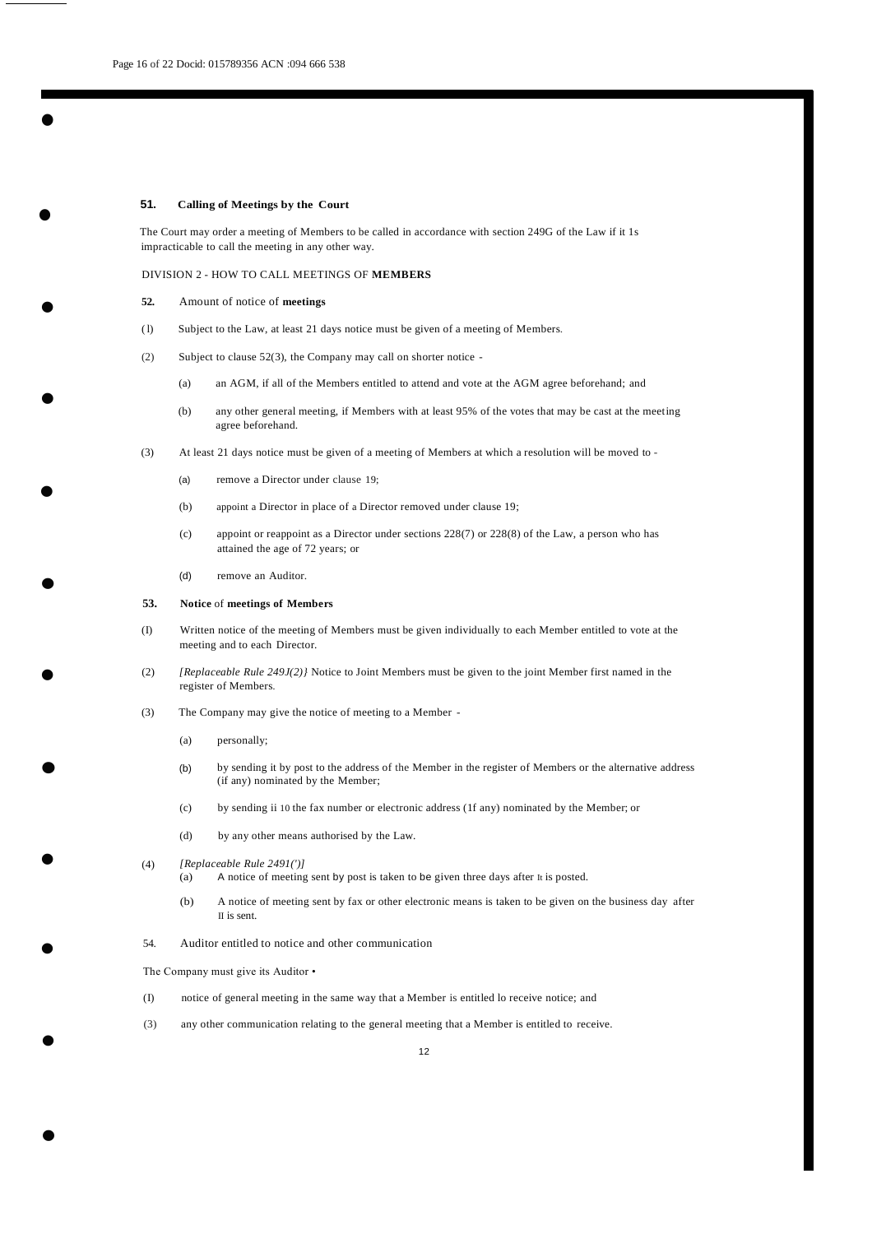•

•

•

•

•

•

•

•

### **51. Calling of Meetings by the Court**

The Court may order a meeting of Members to be called in accordance with section 249G of the Law if it 1s impracticable to call the meeting in any other way.

#### DIVISION 2 - HOW TO CALL MEETINGS OF **MEMBERS**

- **52.** Amount of notice of **meetings**
- ( l) Subject to the Law, at least 21 days notice must be given of a meeting of Members.
- (2) Subject to clause 52(3), the Company may call on shorter notice
	- (a) an AGM, if all of the Members entitled to attend and vote at the AGM agree beforehand; and
	- (b) any other general meeting, if Members with at least 95% of the votes that may be cast at the meeting agree beforehand.
- (3) At least 21 days notice must be given of a meeting of Members at which a resolution will be moved to
	- (a) remove a Director under clause 19;
	- (b) appoint a Director in place of a Director removed under clause 19;
	- (c) appoint or reappoint as a Director under sections 228(7) or 228(8) of the Law, a person who has attained the age of 72 years; or
	- (d) remove an Auditor.

#### **53. Notice** of **meetings of Members**

- (I) Written notice of the meeting of Members must be given individually to each Member entitled to vote at the meeting and to each Director.
- (2) *[Replaceable Rule 249J(2)}* Notice to Joint Members must be given to the joint Member first named in the register of Members.
- (3) The Company may give the notice of meeting to a Member
	- (a) personally;
	- (b) by sending it by post to the address of the Member in the register of Members or the alternative address (if any) nominated by the Member;
	- (c) by sending ii 10 the fax number or electronic address (1f any) nominated by the Member; or
	- (d) by any other means authorised by the Law.

# $\bullet$  (4) *[Replaceable Rule 2491(')]*

- (a) A notice of meeting sent by post is taken to be given three days after It is posted.
- (b) A notice of meeting sent by fax or other electronic means is taken to be given on the business day after II is sent.
- 54. Auditor entitled to notice and other communication

The Company must give its Auditor •

•

- (I) notice of general meeting in the same way that a Member is entitled lo receive notice; and
- (3) any other communication relating to the general meeting that a Member is entitled to receive.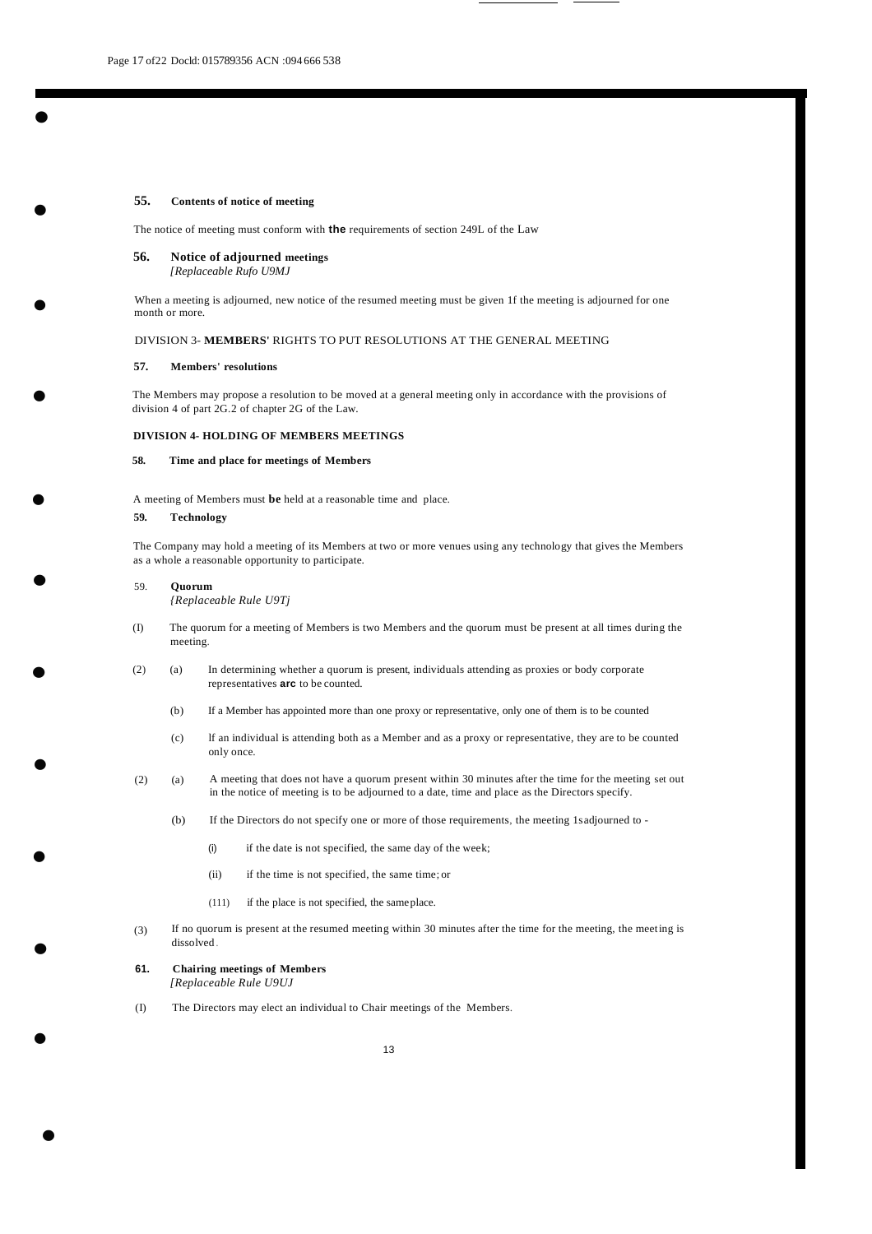•

•

•

•

•

•

#### **55. Contents of notice of meeting**

The notice of meeting must conform with **the** requirements of section 249L of the Law

#### **56. Notice of adjourned meetings** *[Replaceable Rufo U9MJ*

When a meeting is adjourned, new notice of the resumed meeting must be given 1f the meeting is adjourned for one month or more.

#### DIVISION 3- **MEMBERS'** RIGHTS TO PUT RESOLUTIONS AT THE GENERAL MEETING

#### **57. Members' resolutions**

The Members may propose a resolution to be moved at a general meeting only in accordance with the provisions of division 4 of part 2G.2 of chapter 2G of the Law.

#### **DIVISION 4- HOLDING OF MEMBERS MEETINGS**

#### **58. Time and place for meetings of Members**

A meeting of Members must **be** held at a reasonable time and place.

#### **59. Technology**

The Company may hold a meeting of its Members at two or more venues using any technology that gives the Members as a whole a reasonable opportunity to participate.

#### 59. **Quorum**

*{Replaceable Rule U9Tj*

- (I) The quorum for a meeting of Members is two Members and the quorum must be present at all times during the meeting.
- (2) (a) In determining whether a quorum is present, individuals attending as proxies or body corporate representatives **arc** to be counted.
	- (b) If a Member has appointed more than one proxy or representative, only one of them is to be counted
	- (c) lf an individual is attending both as a Member and as a proxy or representative, they are to be counted only once.
- (2) (a) A meeting that does not have a quorum present within 30 minutes after the time for the meeting set out in the notice of meeting is to be adjourned to a date, time and place as the Directors specify.
	- (b) If the Directors do not specify one or more of those requirements, the meeting 1sadjourned to
		- (i) if the date is not specified, the same day of the week;
		- (ii) if the time is not specified, the same time; or
		- (111) if the place is not specified, the sameplace.
- (3) If no quorum is present at the resumed meeting within 30 minutes after the time for the meeting, the meeting is dissolved .

# **61. Chairing meetings of Members**

*[Replaceable Rule U9UJ*

•

•

•

•

•

(I) The Directors may elect an individual to Chair meetings of the Members.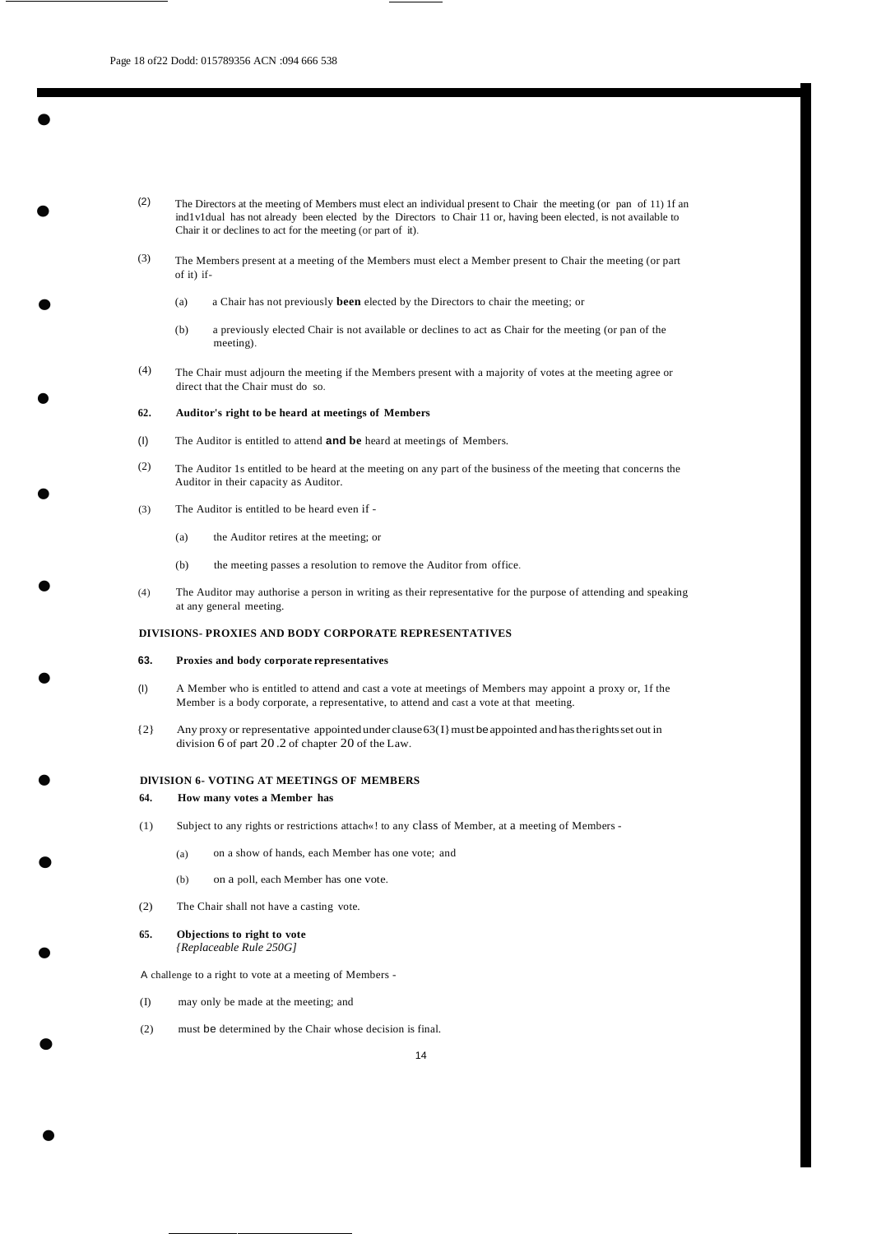•

•

•

•

•

•

•

•

•

•

- (2) The Directors at the meeting of Members must elect an individual present to Chair the meeting (or pan of 11) 1f an ind1v1dual has not already been elected by the Directors to Chair 11 or, having been elected, is not available to Chair it or declines to act for the meeting (or part of it).
- (3) The Members present at a meeting of the Members must elect a Member present to Chair the meeting (or part of it) if-
	- (a) a Chair has not previously **been** elected by the Directors to chair the meeting; or
	- (b) a previously elected Chair is not available or declines to act as Chair for the meeting (or pan of the meeting).
- (4) The Chair must adjourn the meeting if the Members present with a majority of votes at the meeting agree or direct that the Chair must do so.

#### **62. Auditor's right to be heard at meetings of Members**

- (I) The Auditor is entitled to attend **and be** heard at meetings of Members.
- (2) The Auditor 1s entitled to be heard at the meeting on any part of the business of the meeting that concerns the Auditor in their capacity as Auditor.
- (3) The Auditor is entitled to be heard even if
	- (a) the Auditor retires at the meeting; or
	- (b) the meeting passes a resolution to remove the Auditor from office.
- (4) The Auditor may authorise a person in writing as their representative for the purpose of attending and speaking at any general meeting.

#### **DIVISIONS- PROXIES AND BODY CORPORATE REPRESENTATIVES**

#### **63. Proxies and body corporate representatives**

- (I) A Member who is entitled to attend and cast a vote at meetings of Members may appoint a proxy or, 1f the Member is a body corporate, a representative, to attend and cast a vote at that meeting.
- {2} Any proxy or representative appointedunder clause63(I}mustbeappointed and hastherightsset out in division 6 of part 20 .2 of chapter 20 of the Law.

#### **DlVISION 6- VOTING AT MEETINGS OF MEMBERS**

#### **64. How many votes a Member has**

- (1) Subject to any rights or restrictions attach«! to any class of Member, at a meeting of Members
	- (a) on a show of hands, each Member has one vote; and
	- (b) on a poll, each Member has one vote.
- (2) The Chair shall not have a casting vote.
- **65. Objections to right to vote**

•

*{Replaceable Rule 250G]*

A challenge to a right to vote at a meeting of Members -

- (I) may only be made at the meeting; and
- (2) must be determined by the Chair whose decision is final.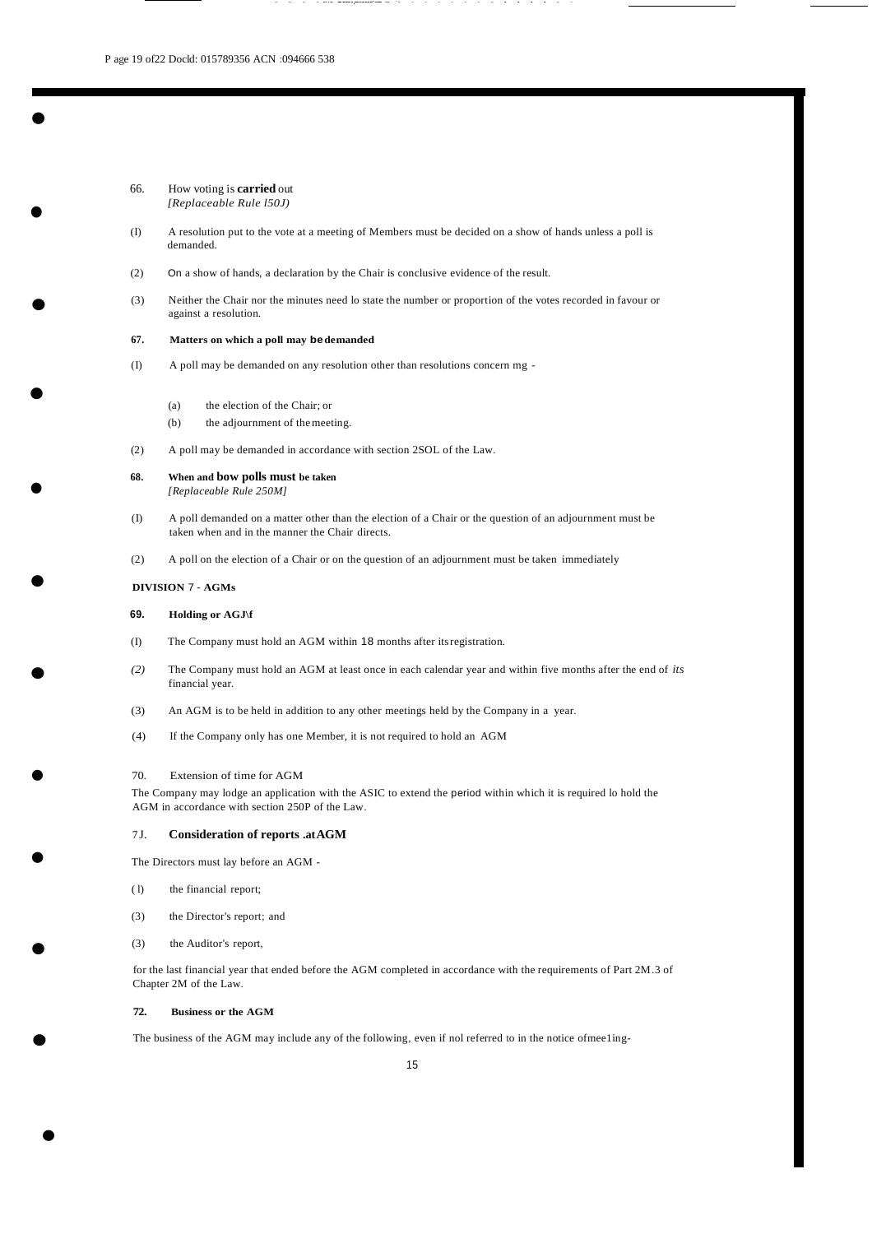•

•

•

•

•

•

•

•

•

•

66. How voting is **carried** out *[Replaceable Rule l50J)*

(I) A resolution put to the vote at a meeting of Members must be decided on a show of hands unless a poll is demanded.

- - - - --- - -------.--------·---- -- ·- - - - - - - - - - - - - -

- (2) On a show of hands, a declaration by the Chair is conclusive evidence of the result.
- (3) Neither the Chair nor the minutes need lo state the number or proportion of the votes recorded in favour or against a resolution.

#### **67. Matters on which a poll may bedemanded**

- (I) A poll may be demanded on any resolution other than resolutions concern mg
	- (a) the election of the Chair; or
	- (b) the adjournment of themeeting.
- (2) A poll may be demanded in accordance with section 2SOL of the Law.
- **68. When and bow polls must be taken** *[Replaceable Rule 250M]*
- (I) A poll demanded on a matter other than the election of a Chair or the question of an adjournment must be taken when and in the manner the Chair directs.
- (2) A poll on the election of a Chair or on the question of an adjournment must be taken immediately

#### **DIVISION** 7 - **AGMs**

#### **69. Holding or AGJ\f**

- (I) The Company must hold an AGM within 18 months after itsregistration.
- *(2)* The Company must hold an AGM at least once in each calendar year and within five months after the end of *its* financial year.
- (3) An AGM is to be held in addition to any other meetings held by the Company in a year.
- (4) If the Company only has one Member, it is not required to hold an AGM

#### 70. Extension of time for AGM

The Company may lodge an application with the ASIC to extend the period within which it is required lo hold the AGM in accordance with section 250P of the Law.

#### 7 J. **Consideration of reports .atAGM**

The Directors must lay before an AGM -

- ( l) the financial report;
- (3) the Director's report; and
- (3) the Auditor's report,

for the last financial year that ended before the AGM completed in accordance with the requirements of Part 2M.3 of Chapter 2M of the Law.

#### **72. Business or the AGM**

•

The business of the AGM may include any of the following, even if nol referred to in the notice ofmee1ing-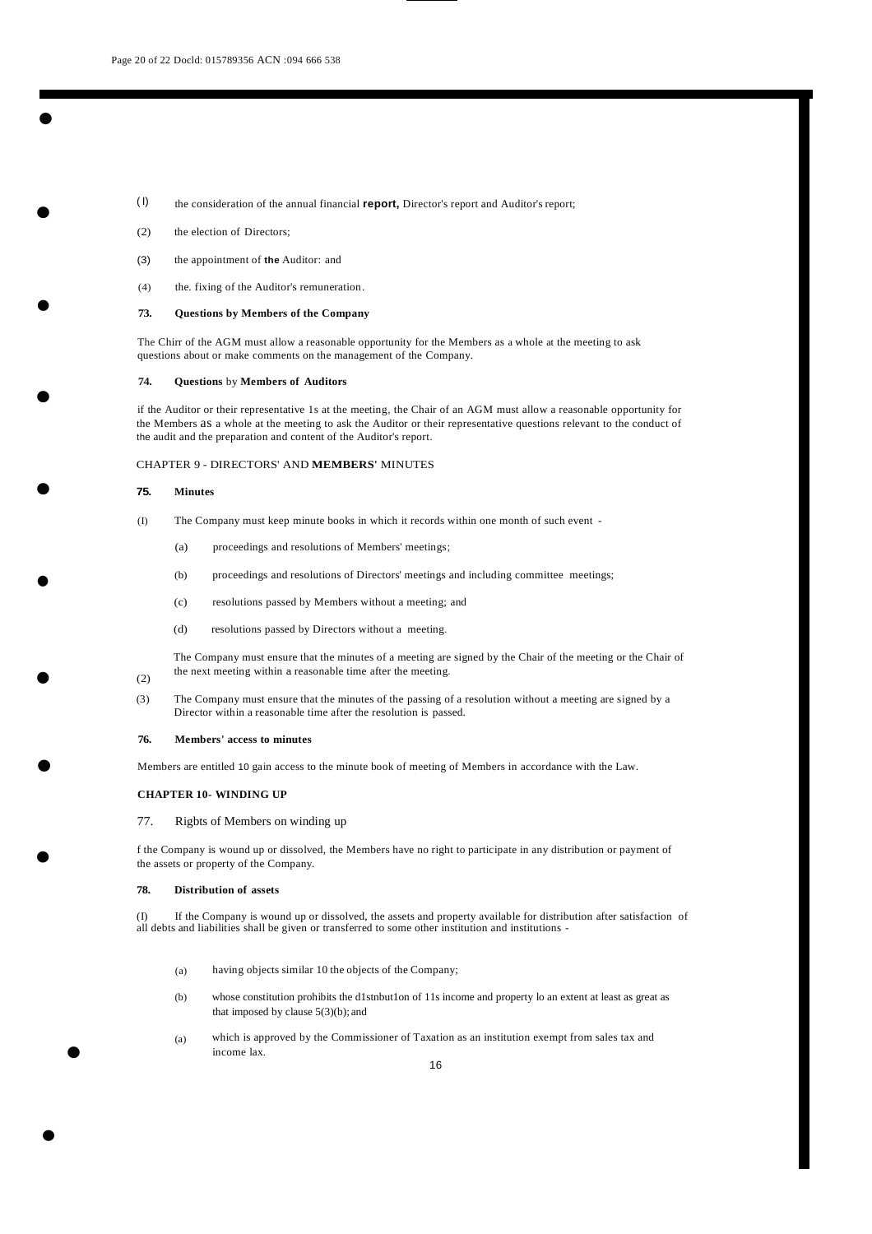- ( I) the consideration of the annual financial **report,** Director's report and Auditor's report;
- (2) the election of Directors;

•<br>•

•

•

•

•

•

- (3) the appointment of **the** Auditor: and
- (4) the. fixing of the Auditor's remuneration.

#### **73. Questions by Members of the Company**

The Chirr of the AGM must allow a reasonable opportunity for the Members as a whole at the meeting to ask questions about or make comments on the management of the Company.

#### **74. Questions** by **Members of Auditors**

if the Auditor or their representative 1s at the meeting, the Chair of an AGM must allow a reasonable opportunity for the Members as a whole at the meeting to ask the Auditor or their representative questions relevant to the conduct of the audit and the preparation and content of the Auditor's report.

#### CHAPTER 9 - DIRECTORS' AND **MEMBERS'** MINUTES

#### **75. Minutes**

- (I) The Company must keep minute books in which it records within one month of such event
	- (a) proceedings and resolutions of Members' meetings;
	- (b) proceedings and resolutions of Directors' meetings and including committee meetings;
	- (c) resolutions passed by Members without a meeting; and
	- (d) resolutions passed by Directors without a meeting.

The Company must ensure that the minutes of a meeting are signed by the Chair of the meeting or the Chair of the next meeting within a reasonable time after the meeting.

### (2)

•

•

•

•

•

(3) The Company must ensure that the minutes of the passing of a resolution without a meeting are signed by a Director within a reasonable time after the resolution is passed.

#### **76. Members' access to minutes**

Members are entitled 10 gain access to the minute book of meeting of Members in accordance with the Law.

#### **CHAPTER 10- WINDING UP**

#### 77. Rigbts of Members on winding up

f the Company is wound up or dissolved, the Members have no right to participate in any distribution or payment of the assets or property of the Company.

#### **78. Distribution of assets**

(I) If the Company is wound up or dissolved, the assets and property available for distribution after satisfaction of all debts and liabilities shall be given or transferred to some other institution and institutions -

- (a) having objects similar 10 the objects of the Company;
- (b) whose constitution prohibits the d1stnbut1on of 11s income and property lo an extent at least as great as that imposed by clause 5(3)(b); and
- (a) which is approved by the Commissioner of Taxation as an institution exempt from sales tax and income lax.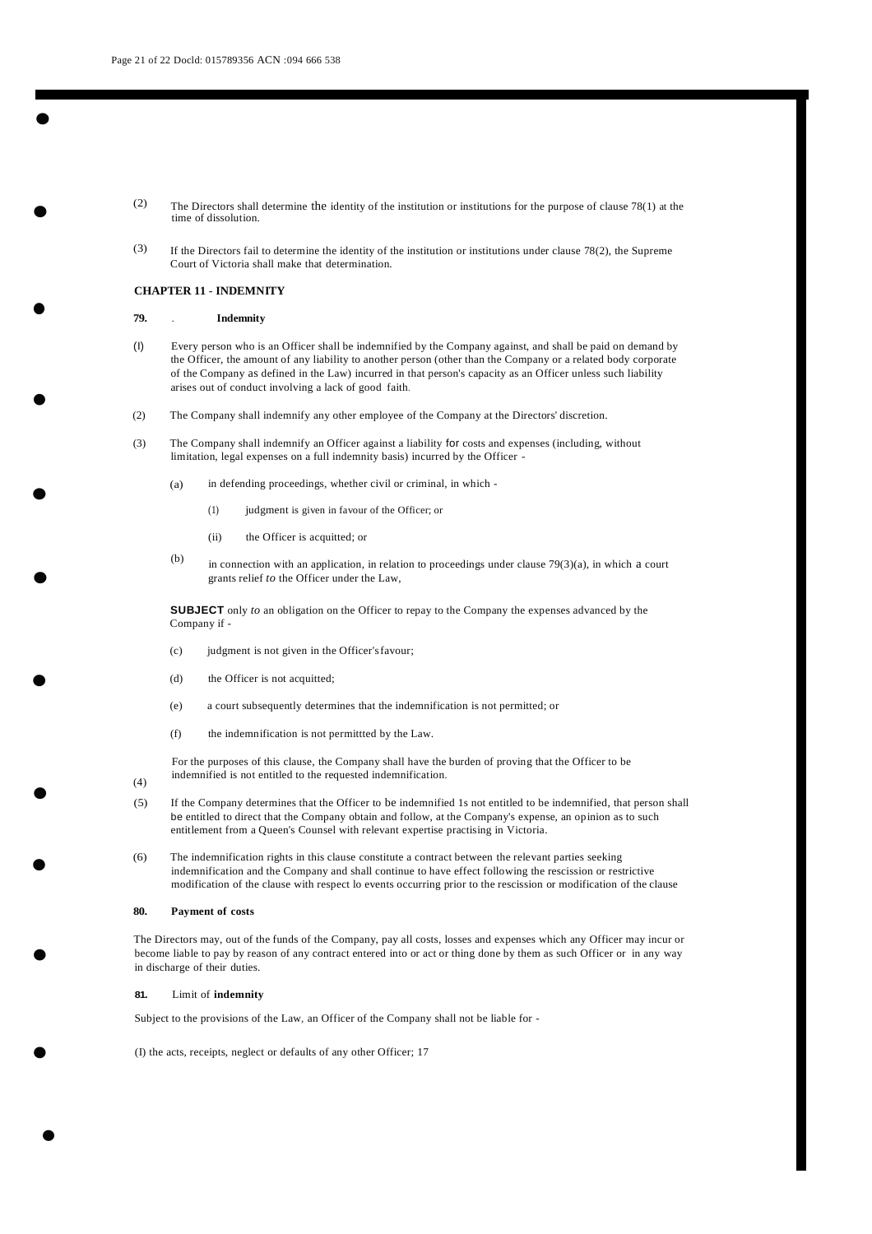•

•

•

•

•

•

•

•

•

- (2) The Directors shall determine the identity of the institution or institutions for the purpose of clause 78(1) at the time of dissolution.
- (3) If the Directors fail to determine the identity of the institution or institutions under clause 78(2), the Supreme Court of Victoria shall make that determination.

#### **CHAPTER 11** - **INDEMNITY**

#### **79.** . **Indemnity**

- (I) Every person who is an Officer shall be indemnified by the Company against, and shall be paid on demand by the Officer, the amount of any liability to another person (other than the Company or a related body corporate of the Company as defined in the Law) incurred in that person's capacity as an Officer unless such liability arises out of conduct involving a lack of good faith.
- (2) The Company shall indemnify any other employee of the Company at the Directors' discretion.
- (3) The Company shall indemnify an Officer against a liability for costs and expenses (including, without limitation, legal expenses on a full indemnity basis) incurred by the Officer -
	- (a) in defending proceedings, whether civil or criminal, in which -
		- (1) judgment is given in favour of the Officer; or
		- (ii) the Officer is acquitted; or
	- (b) in connection with an application, in relation to proceedings under clause  $79(3)(a)$ , in which a court grants relief *to* the Officer under the Law,

**SUBJECT** only *to* an obligation on the Officer to repay to the Company the expenses advanced by the Company if -

- (c) judgment is not given in the Officer'sfavour;
- (d) the Officer is not acquitted;
- (e) a court subsequently determines that the indemnification is not permitted; or
- (f) the indemnification is not permittted by the Law.

For the purposes of this clause, the Company shall have the burden of proving that the Officer to be indemnified is not entitled to the requested indemnification.

- (5) If the Company determines that the Officer to be indemnified 1s not entitled to be indemnified, that person shall be entitled to direct that the Company obtain and follow, at the Company's expense, an opinion as to such entitlement from a Queen's Counsel with relevant expertise practising in Victoria.
- (6) The indemnification rights in this clause constitute a contract between the relevant parties seeking indemnification and the Company and shall continue to have effect following the rescission or restrictive modification of the clause with respect lo events occurring prior to the rescission or modification of the clause

#### **80. Payment of costs**

(4)

The Directors may, out of the funds of the Company, pay all costs, losses and expenses which any Officer may incur or become liable to pay by reason of any contract entered into or act or thing done by them as such Officer or in any way in discharge of their duties.

#### **81.** Limit of **indemnity**

•

•

Subject to the provisions of the Law, an Officer of the Company shall not be liable for -

(I) the acts, receipts, neglect or defaults of any other Officer; 17